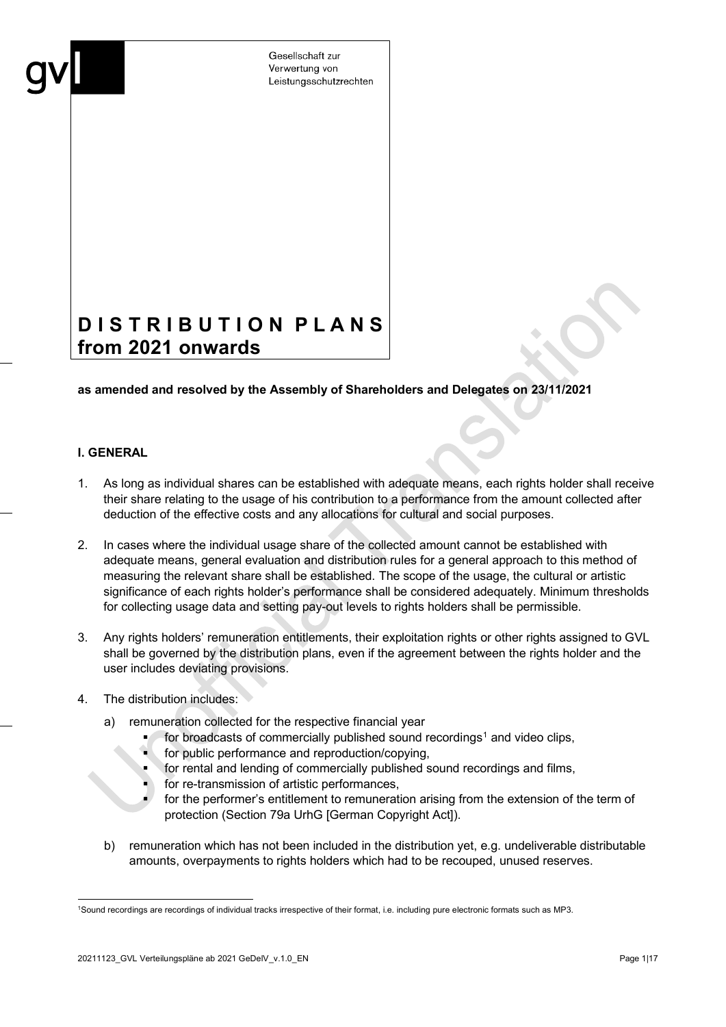# **D I S T R I B U T I O N P L A N S from 2021 onwards**

#### **as amended and resolved by the Assembly of Shareholders and Delegates on 23/11/2021**

#### **I. GENERAL**

- 1. As long as individual shares can be established with adequate means, each rights holder shall receive their share relating to the usage of his contribution to a performance from the amount collected after deduction of the effective costs and any allocations for cultural and social purposes.
- 2. In cases where the individual usage share of the collected amount cannot be established with adequate means, general evaluation and distribution rules for a general approach to this method of measuring the relevant share shall be established. The scope of the usage, the cultural or artistic significance of each rights holder's performance shall be considered adequately. Minimum thresholds for collecting usage data and setting pay-out levels to rights holders shall be permissible.
- 3. Any rights holders' remuneration entitlements, their exploitation rights or other rights assigned to GVL shall be governed by the distribution plans, even if the agreement between the rights holder and the user includes deviating provisions.
- 4. The distribution includes:
	- remuneration collected for the respective financial year
		- for broadcasts of commercially published sound recordings<sup>[1](#page-0-0)</sup> and video clips,
		- for public performance and reproduction/copying,
		- for rental and lending of commercially published sound recordings and films,
		- for re-transmission of artistic performances,
		- for the performer's entitlement to remuneration arising from the extension of the term of protection (Section 79a UrhG [German Copyright Act]).
	- b) remuneration which has not been included in the distribution yet, e.g. undeliverable distributable amounts, overpayments to rights holders which had to be recouped, unused reserves.

<span id="page-0-0"></span><sup>1</sup>Sound recordings are recordings of individual tracks irrespective of their format, i.e. including pure electronic formats such as MP3.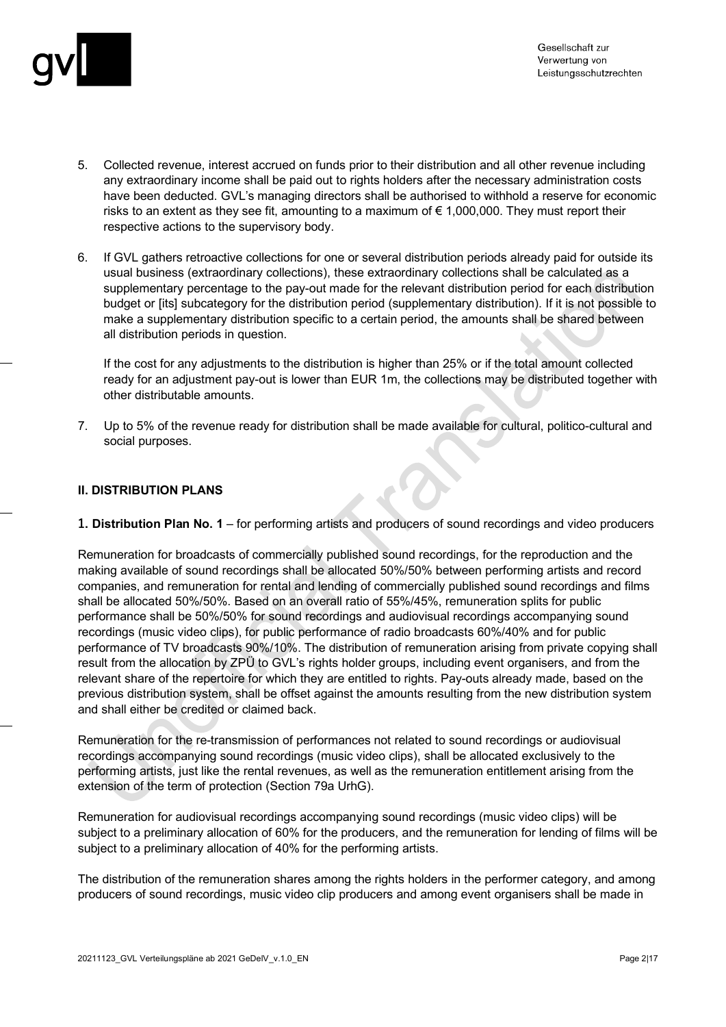

- 5. Collected revenue, interest accrued on funds prior to their distribution and all other revenue including any extraordinary income shall be paid out to rights holders after the necessary administration costs have been deducted. GVL's managing directors shall be authorised to withhold a reserve for economic risks to an extent as they see fit, amounting to a maximum of  $\epsilon$  1,000,000. They must report their respective actions to the supervisory body.
- 6. If GVL gathers retroactive collections for one or several distribution periods already paid for outside its usual business (extraordinary collections), these extraordinary collections shall be calculated as a supplementary percentage to the pay-out made for the relevant distribution period for each distribution budget or [its] subcategory for the distribution period (supplementary distribution). If it is not possible to make a supplementary distribution specific to a certain period, the amounts shall be shared between all distribution periods in question.

If the cost for any adjustments to the distribution is higher than 25% or if the total amount collected ready for an adjustment pay-out is lower than EUR 1m, the collections may be distributed together with other distributable amounts.

7. Up to 5% of the revenue ready for distribution shall be made available for cultural, politico-cultural and social purposes.

#### **II. DISTRIBUTION PLANS**

**1. Distribution Plan No. 1** – for performing artists and producers of sound recordings and video producers

Remuneration for broadcasts of commercially published sound recordings, for the reproduction and the making available of sound recordings shall be allocated 50%/50% between performing artists and record companies, and remuneration for rental and lending of commercially published sound recordings and films shall be allocated 50%/50%. Based on an overall ratio of 55%/45%, remuneration splits for public performance shall be 50%/50% for sound recordings and audiovisual recordings accompanying sound recordings (music video clips), for public performance of radio broadcasts 60%/40% and for public performance of TV broadcasts 90%/10%. The distribution of remuneration arising from private copying shall result from the allocation by ZPÜ to GVL's rights holder groups, including event organisers, and from the relevant share of the repertoire for which they are entitled to rights. Pay-outs already made, based on the previous distribution system, shall be offset against the amounts resulting from the new distribution system and shall either be credited or claimed back.

Remuneration for the re-transmission of performances not related to sound recordings or audiovisual recordings accompanying sound recordings (music video clips), shall be allocated exclusively to the performing artists, just like the rental revenues, as well as the remuneration entitlement arising from the extension of the term of protection (Section 79a UrhG).

Remuneration for audiovisual recordings accompanying sound recordings (music video clips) will be subject to a preliminary allocation of 60% for the producers, and the remuneration for lending of films will be subject to a preliminary allocation of 40% for the performing artists.

The distribution of the remuneration shares among the rights holders in the performer category, and among producers of sound recordings, music video clip producers and among event organisers shall be made in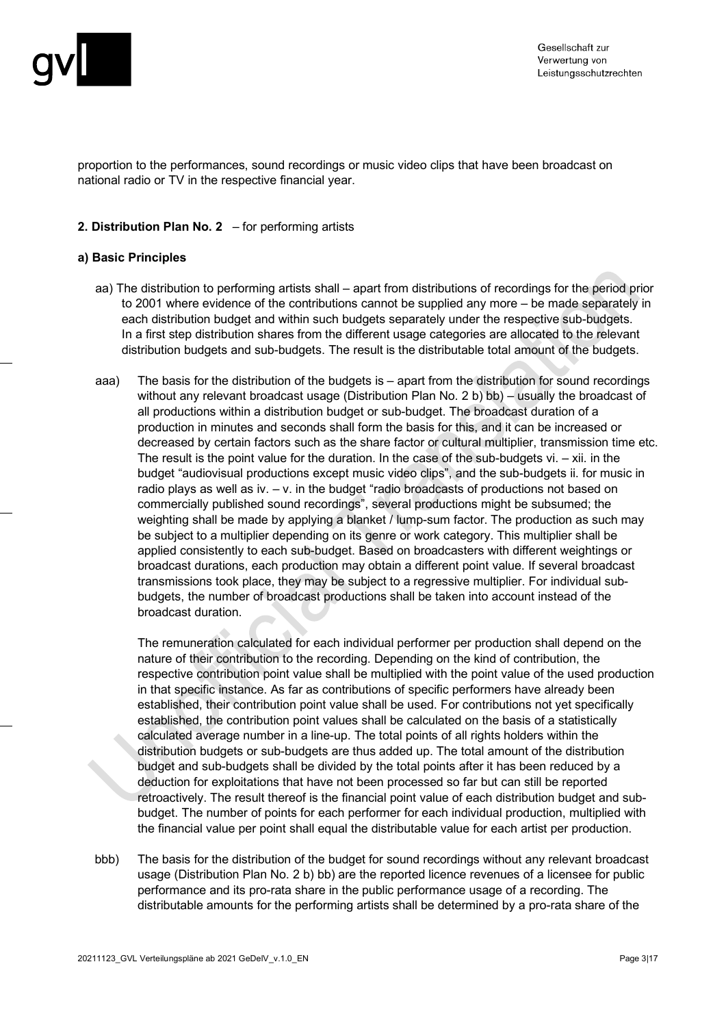

proportion to the performances, sound recordings or music video clips that have been broadcast on national radio or TV in the respective financial year.

#### **2. Distribution Plan No. 2** – for performing artists

#### **a) Basic Principles**

- aa) The distribution to performing artists shall apart from distributions of recordings for the period prior to 2001 where evidence of the contributions cannot be supplied any more – be made separately in each distribution budget and within such budgets separately under the respective sub-budgets. In a first step distribution shares from the different usage categories are allocated to the relevant distribution budgets and sub-budgets. The result is the distributable total amount of the budgets.
- aaa) The basis for the distribution of the budgets is apart from the distribution for sound recordings without any relevant broadcast usage (Distribution Plan No. 2 b) bb) – usually the broadcast of all productions within a distribution budget or sub-budget. The broadcast duration of a production in minutes and seconds shall form the basis for this, and it can be increased or decreased by certain factors such as the share factor or cultural multiplier, transmission time etc. The result is the point value for the duration. In the case of the sub-budgets  $vi. - xii$ . in the budget "audiovisual productions except music video clips", and the sub-budgets ii. for music in radio plays as well as iv. – v. in the budget "radio broadcasts of productions not based on commercially published sound recordings", several productions might be subsumed; the weighting shall be made by applying a blanket / lump-sum factor. The production as such may be subject to a multiplier depending on its genre or work category. This multiplier shall be applied consistently to each sub-budget. Based on broadcasters with different weightings or broadcast durations, each production may obtain a different point value. If several broadcast transmissions took place, they may be subject to a regressive multiplier. For individual subbudgets, the number of broadcast productions shall be taken into account instead of the broadcast duration.

The remuneration calculated for each individual performer per production shall depend on the nature of their contribution to the recording. Depending on the kind of contribution, the respective contribution point value shall be multiplied with the point value of the used production in that specific instance. As far as contributions of specific performers have already been established, their contribution point value shall be used. For contributions not yet specifically established, the contribution point values shall be calculated on the basis of a statistically calculated average number in a line-up. The total points of all rights holders within the distribution budgets or sub-budgets are thus added up. The total amount of the distribution budget and sub-budgets shall be divided by the total points after it has been reduced by a deduction for exploitations that have not been processed so far but can still be reported retroactively. The result thereof is the financial point value of each distribution budget and subbudget. The number of points for each performer for each individual production, multiplied with the financial value per point shall equal the distributable value for each artist per production.

bbb) The basis for the distribution of the budget for sound recordings without any relevant broadcast usage (Distribution Plan No. 2 b) bb) are the reported licence revenues of a licensee for public performance and its pro-rata share in the public performance usage of a recording. The distributable amounts for the performing artists shall be determined by a pro-rata share of the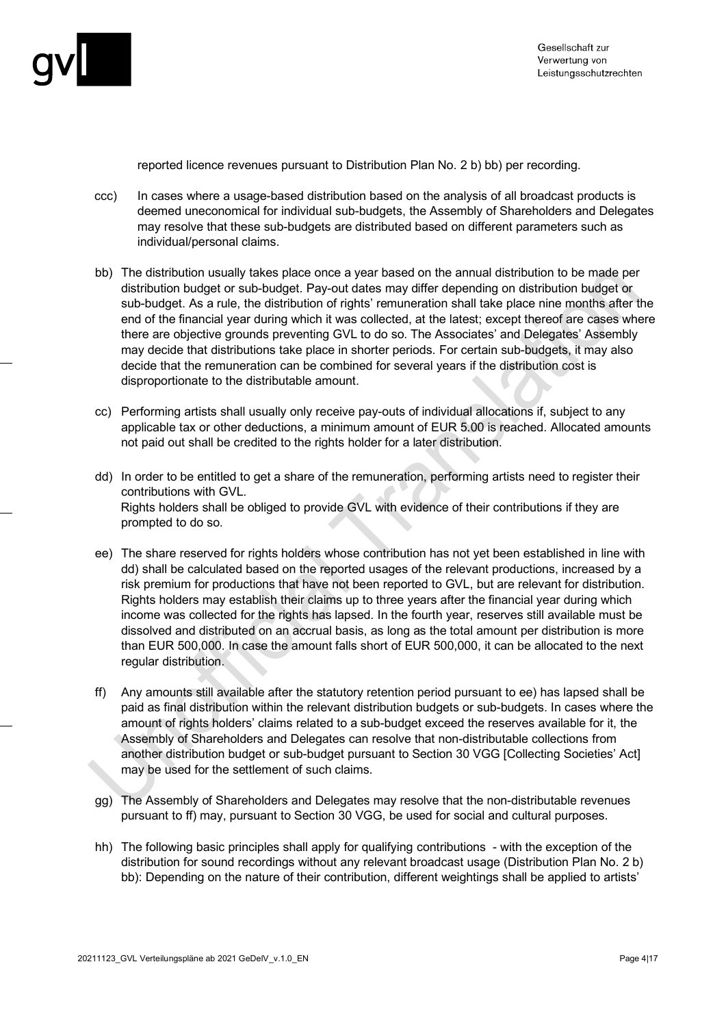

reported licence revenues pursuant to Distribution Plan No. 2 b) bb) per recording.

- ccc) In cases where a usage-based distribution based on the analysis of all broadcast products is deemed uneconomical for individual sub-budgets, the Assembly of Shareholders and Delegates may resolve that these sub-budgets are distributed based on different parameters such as individual/personal claims.
- bb) The distribution usually takes place once a year based on the annual distribution to be made per distribution budget or sub-budget. Pay-out dates may differ depending on distribution budget or sub-budget. As a rule, the distribution of rights' remuneration shall take place nine months after the end of the financial year during which it was collected, at the latest; except thereof are cases where there are objective grounds preventing GVL to do so. The Associates' and Delegates' Assembly may decide that distributions take place in shorter periods. For certain sub-budgets, it may also decide that the remuneration can be combined for several years if the distribution cost is disproportionate to the distributable amount.
- cc) Performing artists shall usually only receive pay-outs of individual allocations if, subject to any applicable tax or other deductions, a minimum amount of EUR 5.00 is reached. Allocated amounts not paid out shall be credited to the rights holder for a later distribution.
- dd) In order to be entitled to get a share of the remuneration, performing artists need to register their contributions with GVL. Rights holders shall be obliged to provide GVL with evidence of their contributions if they are prompted to do so.
- ee) The share reserved for rights holders whose contribution has not yet been established in line with dd) shall be calculated based on the reported usages of the relevant productions, increased by a risk premium for productions that have not been reported to GVL, but are relevant for distribution. Rights holders may establish their claims up to three years after the financial year during which income was collected for the rights has lapsed. In the fourth year, reserves still available must be dissolved and distributed on an accrual basis, as long as the total amount per distribution is more than EUR 500,000. In case the amount falls short of EUR 500,000, it can be allocated to the next regular distribution.
- ff) Any amounts still available after the statutory retention period pursuant to ee) has lapsed shall be paid as final distribution within the relevant distribution budgets or sub-budgets. In cases where the amount of rights holders' claims related to a sub-budget exceed the reserves available for it, the Assembly of Shareholders and Delegates can resolve that non-distributable collections from another distribution budget or sub-budget pursuant to Section 30 VGG [Collecting Societies' Act] may be used for the settlement of such claims.
- gg) The Assembly of Shareholders and Delegates may resolve that the non-distributable revenues pursuant to ff) may, pursuant to Section 30 VGG, be used for social and cultural purposes.
- hh) The following basic principles shall apply for qualifying contributions with the exception of the distribution for sound recordings without any relevant broadcast usage (Distribution Plan No. 2 b) bb): Depending on the nature of their contribution, different weightings shall be applied to artists'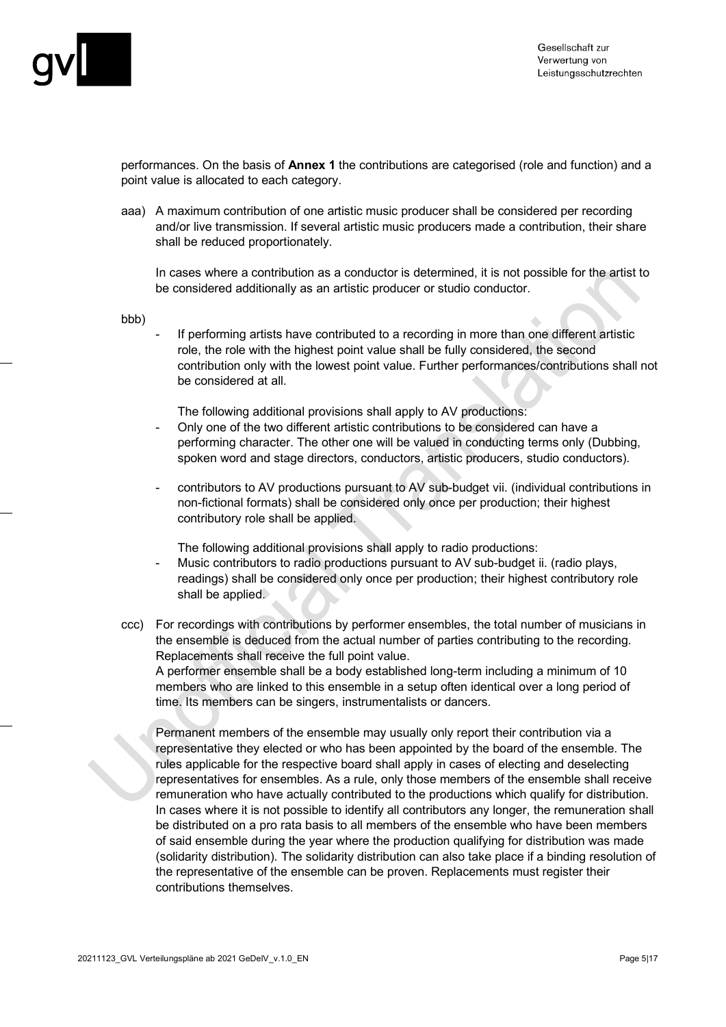

performances. On the basis of **Annex 1** the contributions are categorised (role and function) and a point value is allocated to each category.

aaa) A maximum contribution of one artistic music producer shall be considered per recording and/or live transmission. If several artistic music producers made a contribution, their share shall be reduced proportionately.

In cases where a contribution as a conductor is determined, it is not possible for the artist to be considered additionally as an artistic producer or studio conductor.

bbb)

If performing artists have contributed to a recording in more than one different artistic role, the role with the highest point value shall be fully considered, the second contribution only with the lowest point value. Further performances/contributions shall not be considered at all.

The following additional provisions shall apply to AV productions:

- Only one of the two different artistic contributions to be considered can have a performing character. The other one will be valued in conducting terms only (Dubbing, spoken word and stage directors, conductors, artistic producers, studio conductors).
- contributors to AV productions pursuant to AV sub-budget vii. (individual contributions in non-fictional formats) shall be considered only once per production; their highest contributory role shall be applied.

The following additional provisions shall apply to radio productions:

- Music contributors to radio productions pursuant to AV sub-budget ii. (radio plays, readings) shall be considered only once per production; their highest contributory role shall be applied.
- ccc) For recordings with contributions by performer ensembles, the total number of musicians in the ensemble is deduced from the actual number of parties contributing to the recording. Replacements shall receive the full point value.

A performer ensemble shall be a body established long-term including a minimum of 10 members who are linked to this ensemble in a setup often identical over a long period of time. Its members can be singers, instrumentalists or dancers.

Permanent members of the ensemble may usually only report their contribution via a representative they elected or who has been appointed by the board of the ensemble. The rules applicable for the respective board shall apply in cases of electing and deselecting representatives for ensembles. As a rule, only those members of the ensemble shall receive remuneration who have actually contributed to the productions which qualify for distribution. In cases where it is not possible to identify all contributors any longer, the remuneration shall be distributed on a pro rata basis to all members of the ensemble who have been members of said ensemble during the year where the production qualifying for distribution was made (solidarity distribution). The solidarity distribution can also take place if a binding resolution of the representative of the ensemble can be proven. Replacements must register their contributions themselves.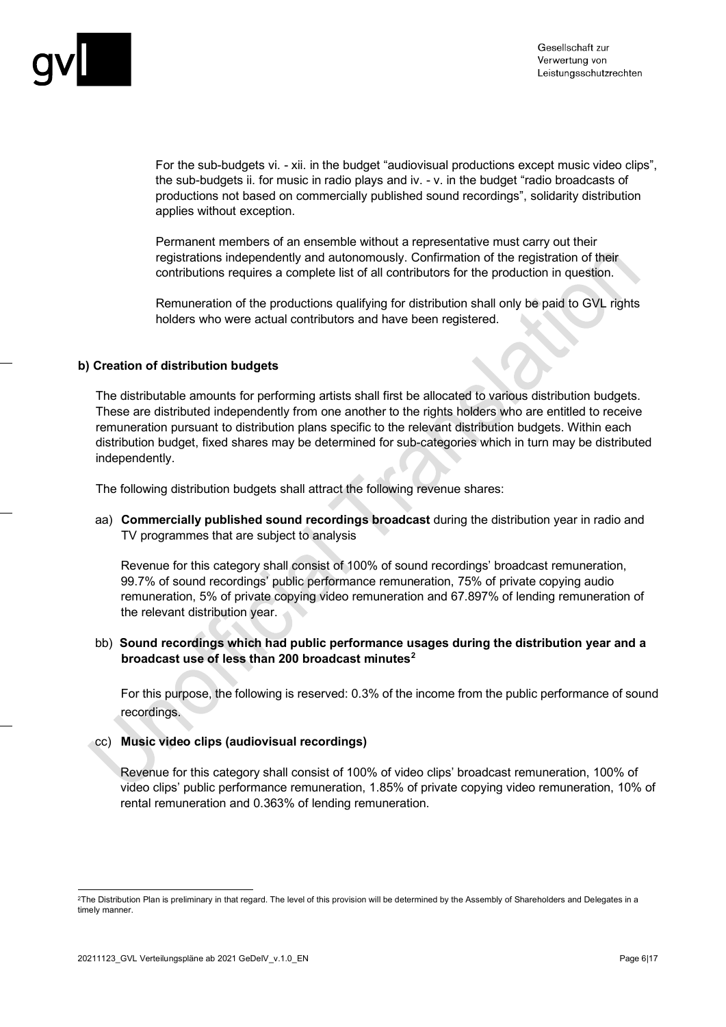

For the sub-budgets vi. - xii. in the budget "audiovisual productions except music video clips", the sub-budgets ii. for music in radio plays and iv. - v. in the budget "radio broadcasts of productions not based on commercially published sound recordings", solidarity distribution applies without exception.

Permanent members of an ensemble without a representative must carry out their registrations independently and autonomously. Confirmation of the registration of their contributions requires a complete list of all contributors for the production in question.

Remuneration of the productions qualifying for distribution shall only be paid to GVL rights holders who were actual contributors and have been registered.

#### **b) Creation of distribution budgets**

The distributable amounts for performing artists shall first be allocated to various distribution budgets. These are distributed independently from one another to the rights holders who are entitled to receive remuneration pursuant to distribution plans specific to the relevant distribution budgets. Within each distribution budget, fixed shares may be determined for sub-categories which in turn may be distributed independently.

The following distribution budgets shall attract the following revenue shares:

aa) **Commercially published sound recordings broadcast** during the distribution year in radio and TV programmes that are subject to analysis

Revenue for this category shall consist of 100% of sound recordings' broadcast remuneration, 99.7% of sound recordings' public performance remuneration, 75% of private copying audio remuneration, 5% of private copying video remuneration and 67.897% of lending remuneration of the relevant distribution year.

#### bb) **Sound recordings which had public performance usages during the distribution year and a broadcast use of less than 200 broadcast minutes[2](#page-5-0)**

For this purpose, the following is reserved: 0.3% of the income from the public performance of sound recordings.

#### cc) **Music video clips (audiovisual recordings)**

Revenue for this category shall consist of 100% of video clips' broadcast remuneration, 100% of video clips' public performance remuneration, 1.85% of private copying video remuneration, 10% of rental remuneration and 0.363% of lending remuneration.

<span id="page-5-0"></span><sup>2</sup>The Distribution Plan is preliminary in that regard. The level of this provision will be determined by the Assembly of Shareholders and Delegates in a timely manner.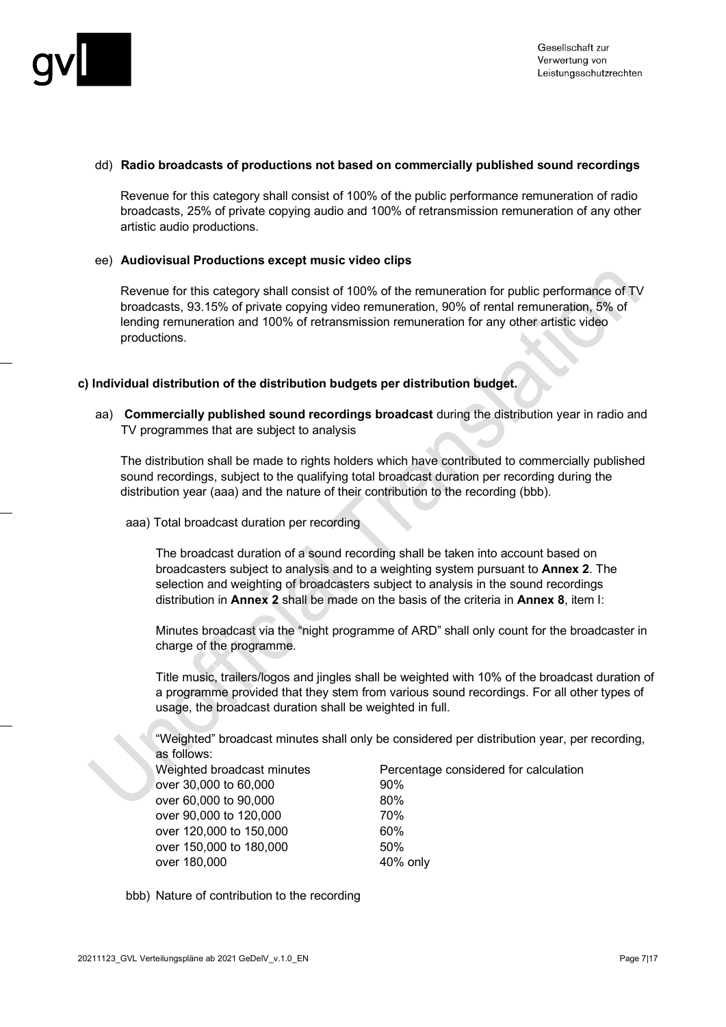

#### dd) **Radio broadcasts of productions not based on commercially published sound recordings**

Revenue for this category shall consist of 100% of the public performance remuneration of radio broadcasts, 25% of private copying audio and 100% of retransmission remuneration of any other artistic audio productions.

#### ee) **Audiovisual Productions except music video clips**

Revenue for this category shall consist of 100% of the remuneration for public performance of TV broadcasts, 93.15% of private copying video remuneration, 90% of rental remuneration, 5% of lending remuneration and 100% of retransmission remuneration for any other artistic video productions.

#### **c) Individual distribution of the distribution budgets per distribution budget.**

aa) **Commercially published sound recordings broadcast** during the distribution year in radio and TV programmes that are subject to analysis

The distribution shall be made to rights holders which have contributed to commercially published sound recordings, subject to the qualifying total broadcast duration per recording during the distribution year (aaa) and the nature of their contribution to the recording (bbb).

aaa) Total broadcast duration per recording

The broadcast duration of a sound recording shall be taken into account based on broadcasters subject to analysis and to a weighting system pursuant to **Annex 2**. The selection and weighting of broadcasters subject to analysis in the sound recordings distribution in **Annex 2** shall be made on the basis of the criteria in **Annex 8**, item I:

Minutes broadcast via the "night programme of ARD" shall only count for the broadcaster in charge of the programme.

Title music, trailers/logos and jingles shall be weighted with 10% of the broadcast duration of a programme provided that they stem from various sound recordings. For all other types of usage, the broadcast duration shall be weighted in full.

"Weighted" broadcast minutes shall only be considered per distribution year, per recording, as follows:

over 30,000 to 60,000 example to 90% over 60,000 to 90,000 80% over 90,000 to 120,000 70% over 120,000 to 150,000 60% over 150,000 to 180,000 50% over 180,000 **40% only** 

# Weighted broadcast minutes Percentage considered for calculation

bbb) Nature of contribution to the recording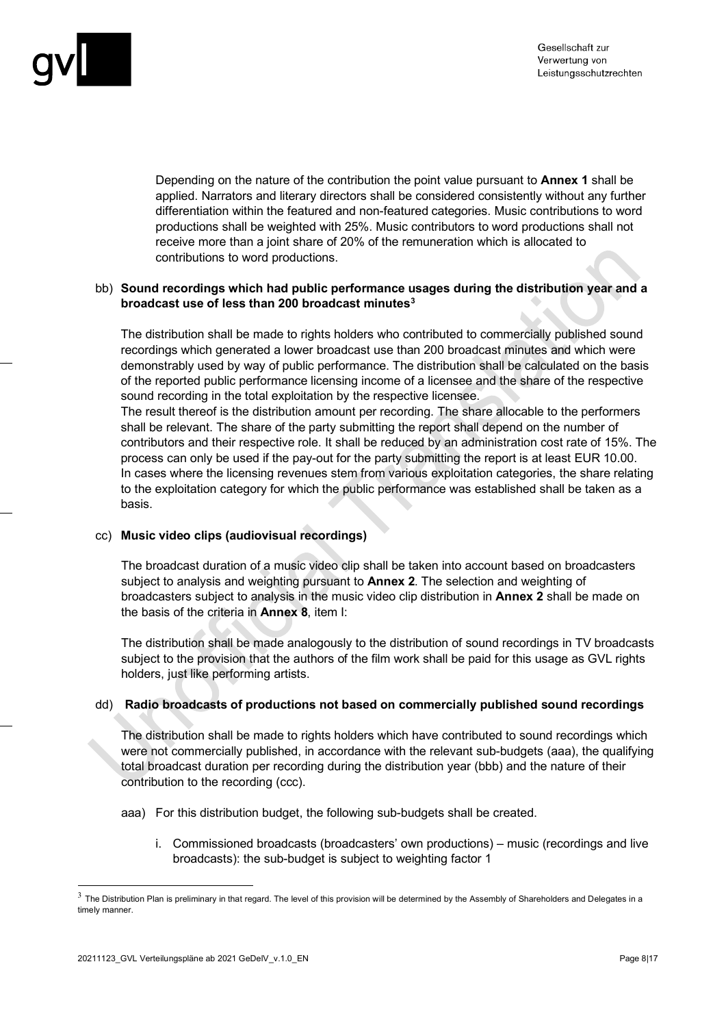

Depending on the nature of the contribution the point value pursuant to **Annex 1** shall be applied. Narrators and literary directors shall be considered consistently without any further differentiation within the featured and non-featured categories. Music contributions to word productions shall be weighted with 25%. Music contributors to word productions shall not receive more than a joint share of 20% of the remuneration which is allocated to contributions to word productions.

#### bb) **Sound recordings which had public performance usages during the distribution year and a broadcast use of less than 200 broadcast minutes[3](#page-7-0)**

The distribution shall be made to rights holders who contributed to commercially published sound recordings which generated a lower broadcast use than 200 broadcast minutes and which were demonstrably used by way of public performance. The distribution shall be calculated on the basis of the reported public performance licensing income of a licensee and the share of the respective sound recording in the total exploitation by the respective licensee.

The result thereof is the distribution amount per recording. The share allocable to the performers shall be relevant. The share of the party submitting the report shall depend on the number of contributors and their respective role. It shall be reduced by an administration cost rate of 15%. The process can only be used if the pay-out for the party submitting the report is at least EUR 10.00. In cases where the licensing revenues stem from various exploitation categories, the share relating to the exploitation category for which the public performance was established shall be taken as a basis.

#### cc) **Music video clips (audiovisual recordings)**

The broadcast duration of a music video clip shall be taken into account based on broadcasters subject to analysis and weighting pursuant to **Annex 2**. The selection and weighting of broadcasters subject to analysis in the music video clip distribution in **Annex 2** shall be made on the basis of the criteria in **Annex 8**, item I:

The distribution shall be made analogously to the distribution of sound recordings in TV broadcasts subject to the provision that the authors of the film work shall be paid for this usage as GVL rights holders, just like performing artists.

#### dd) **Radio broadcasts of productions not based on commercially published sound recordings**

The distribution shall be made to rights holders which have contributed to sound recordings which were not commercially published, in accordance with the relevant sub-budgets (aaa), the qualifying total broadcast duration per recording during the distribution year (bbb) and the nature of their contribution to the recording (ccc).

aaa) For this distribution budget, the following sub-budgets shall be created.

i. Commissioned broadcasts (broadcasters' own productions) – music (recordings and live broadcasts): the sub-budget is subject to weighting factor 1

<span id="page-7-0"></span> $3$  The Distribution Plan is preliminary in that regard. The level of this provision will be determined by the Assembly of Shareholders and Delegates in a timely manner.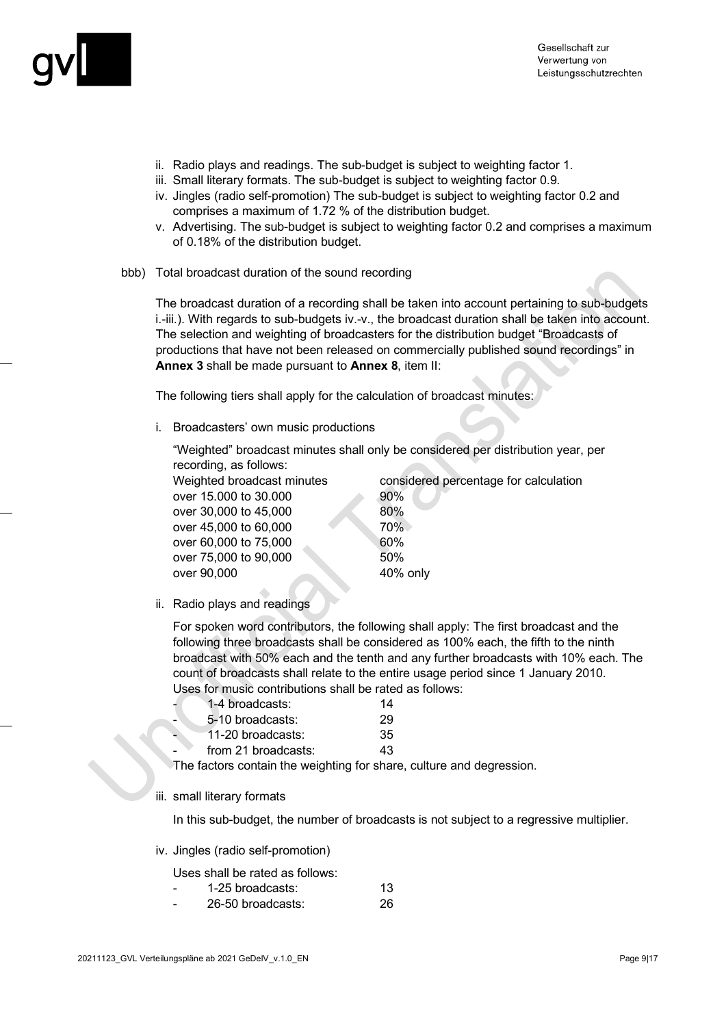

- ii. Radio plays and readings. The sub-budget is subject to weighting factor 1.
- iii. Small literary formats. The sub-budget is subject to weighting factor 0.9.
- iv. Jingles (radio self-promotion) The sub-budget is subject to weighting factor 0.2 and comprises a maximum of 1.72 % of the distribution budget.
- v. Advertising. The sub-budget is subject to weighting factor 0.2 and comprises a maximum of 0.18% of the distribution budget.
- bbb) Total broadcast duration of the sound recording

The broadcast duration of a recording shall be taken into account pertaining to sub-budgets i.-iii.). With regards to sub-budgets iv.-v., the broadcast duration shall be taken into account. The selection and weighting of broadcasters for the distribution budget "Broadcasts of productions that have not been released on commercially published sound recordings" in **Annex 3** shall be made pursuant to **Annex 8**, item II:

The following tiers shall apply for the calculation of broadcast minutes:

i. Broadcasters' own music productions

"Weighted" broadcast minutes shall only be considered per distribution year, per recording, as follows:

over 15,000 to 30,000 90% over 30,000 to 45,000 80% over 45,000 to 60,000 70% over 60,000 to 75,000 60% over 75,000 to 90,000 over 90,000 40% only

Weighted broadcast minutes considered percentage for calculation

ii. Radio plays and readings

For spoken word contributors, the following shall apply: The first broadcast and the following three broadcasts shall be considered as 100% each, the fifth to the ninth broadcast with 50% each and the tenth and any further broadcasts with 10% each. The count of broadcasts shall relate to the entire usage period since 1 January 2010. Uses for music contributions shall be rated as follows:

|   | 1-4 broadcasts:     | 14 |
|---|---------------------|----|
| - | 5-10 broadcasts:    | 29 |
|   | 11-20 broadcasts:   | 35 |
|   | from 21 broadcasts: | 43 |

The factors contain the weighting for share, culture and degression.

#### iii. small literary formats

In this sub-budget, the number of broadcasts is not subject to a regressive multiplier.

iv. Jingles (radio self-promotion)

#### Uses shall be rated as follows:

- 1-25 broadcasts: 13
- 26-50 broadcasts: 26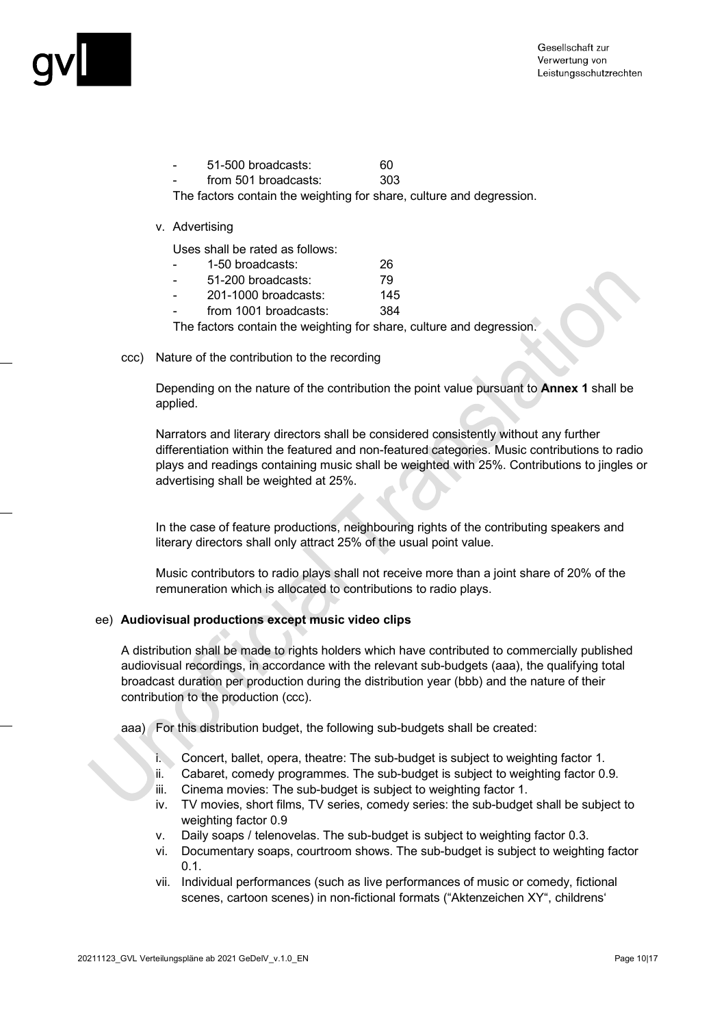

| $\overline{\phantom{0}}$ | 51-500 broadcasts:   | 60  |
|--------------------------|----------------------|-----|
| $\overline{\phantom{0}}$ | from 501 broadcasts: | 303 |

The factors contain the weighting for share, culture and degression.

#### v. Advertising

Uses shall be rated as follows:

| 1-50 broadcasts:       | 26  |
|------------------------|-----|
| 51-200 broadcasts:     | 79  |
| $201-1000$ broadcasts: | 145 |

from 1001 broadcasts: 384

The factors contain the weighting for share, culture and degression.

ccc) Nature of the contribution to the recording

Depending on the nature of the contribution the point value pursuant to **Annex 1** shall be applied.

Narrators and literary directors shall be considered consistently without any further differentiation within the featured and non-featured categories. Music contributions to radio plays and readings containing music shall be weighted with 25%. Contributions to jingles or advertising shall be weighted at 25%.

In the case of feature productions, neighbouring rights of the contributing speakers and literary directors shall only attract 25% of the usual point value.

Music contributors to radio plays shall not receive more than a joint share of 20% of the remuneration which is allocated to contributions to radio plays.

#### ee) **Audiovisual productions except music video clips**

A distribution shall be made to rights holders which have contributed to commercially published audiovisual recordings, in accordance with the relevant sub-budgets (aaa), the qualifying total broadcast duration per production during the distribution year (bbb) and the nature of their contribution to the production (ccc).

aaa) For this distribution budget, the following sub-budgets shall be created:

- i. Concert, ballet, opera, theatre: The sub-budget is subject to weighting factor 1.
- ii. Cabaret, comedy programmes. The sub-budget is subject to weighting factor 0.9.
- iii. Cinema movies: The sub-budget is subject to weighting factor 1.
- iv. TV movies, short films, TV series, comedy series: the sub-budget shall be subject to weighting factor 0.9
- v. Daily soaps / telenovelas. The sub-budget is subject to weighting factor 0.3.
- vi. Documentary soaps, courtroom shows. The sub-budget is subject to weighting factor  $0.1.$
- vii. Individual performances (such as live performances of music or comedy, fictional scenes, cartoon scenes) in non-fictional formats ("Aktenzeichen XY", childrens'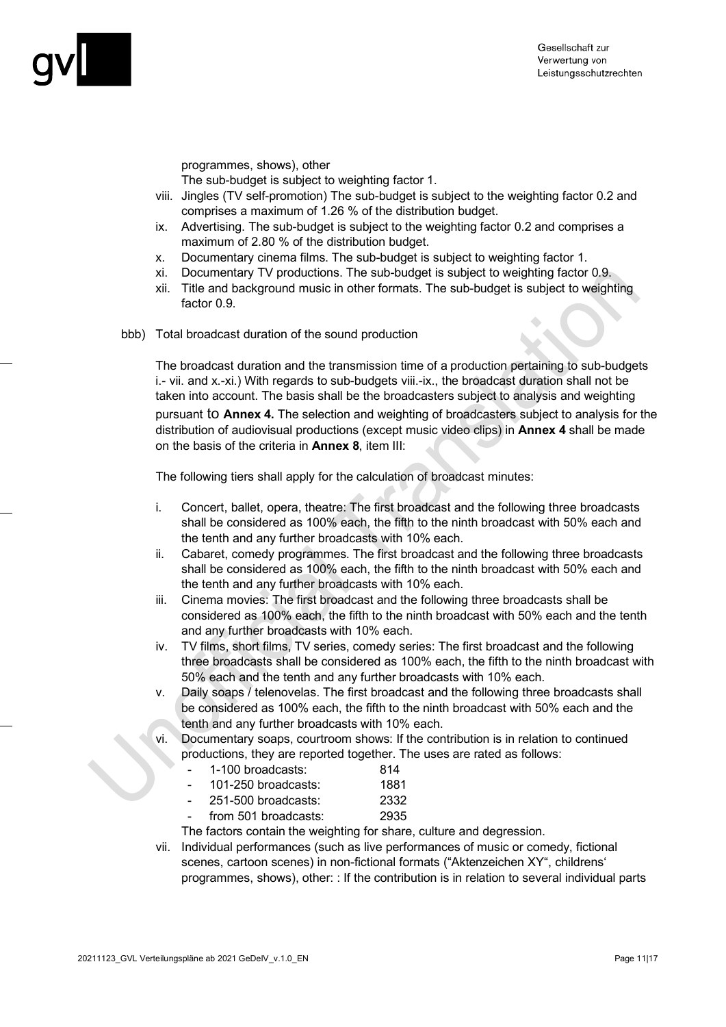

programmes, shows), other

The sub-budget is subject to weighting factor 1.

- viii. Jingles (TV self-promotion) The sub-budget is subject to the weighting factor 0.2 and comprises a maximum of 1.26 % of the distribution budget.
- ix. Advertising. The sub-budget is subject to the weighting factor 0.2 and comprises a maximum of 2.80 % of the distribution budget.
- x. Documentary cinema films. The sub-budget is subject to weighting factor 1.
- xi. Documentary TV productions. The sub-budget is subject to weighting factor 0.9.
- xii. Title and background music in other formats. The sub-budget is subject to weighting factor 0.9.
- bbb) Total broadcast duration of the sound production

The broadcast duration and the transmission time of a production pertaining to sub-budgets i.- vii. and x.-xi.) With regards to sub-budgets viii.-ix., the broadcast duration shall not be taken into account. The basis shall be the broadcasters subject to analysis and weighting pursuant to **Annex 4.** The selection and weighting of broadcasters subject to analysis for the distribution of audiovisual productions (except music video clips) in **Annex 4** shall be made on the basis of the criteria in **Annex 8**, item III:

The following tiers shall apply for the calculation of broadcast minutes:

- i. Concert, ballet, opera, theatre: The first broadcast and the following three broadcasts shall be considered as 100% each, the fifth to the ninth broadcast with 50% each and the tenth and any further broadcasts with 10% each.
- ii. Cabaret, comedy programmes. The first broadcast and the following three broadcasts shall be considered as 100% each, the fifth to the ninth broadcast with 50% each and the tenth and any further broadcasts with 10% each.
- iii. Cinema movies: The first broadcast and the following three broadcasts shall be considered as 100% each, the fifth to the ninth broadcast with 50% each and the tenth and any further broadcasts with 10% each.
- iv. TV films, short films, TV series, comedy series: The first broadcast and the following three broadcasts shall be considered as 100% each, the fifth to the ninth broadcast with 50% each and the tenth and any further broadcasts with 10% each.
- v. Daily soaps / telenovelas. The first broadcast and the following three broadcasts shall be considered as 100% each, the fifth to the ninth broadcast with 50% each and the tenth and any further broadcasts with 10% each.
- vi. Documentary soaps, courtroom shows: If the contribution is in relation to continued productions, they are reported together. The uses are rated as follows:
	- 1-100 broadcasts: 814 - 101-250 broadcasts: 1881
	- 251-500 broadcasts: 2332
	- from 501 broadcasts: 2935

The factors contain the weighting for share, culture and degression.

vii. Individual performances (such as live performances of music or comedy, fictional scenes, cartoon scenes) in non-fictional formats ("Aktenzeichen XY", childrens' programmes, shows), other: : If the contribution is in relation to several individual parts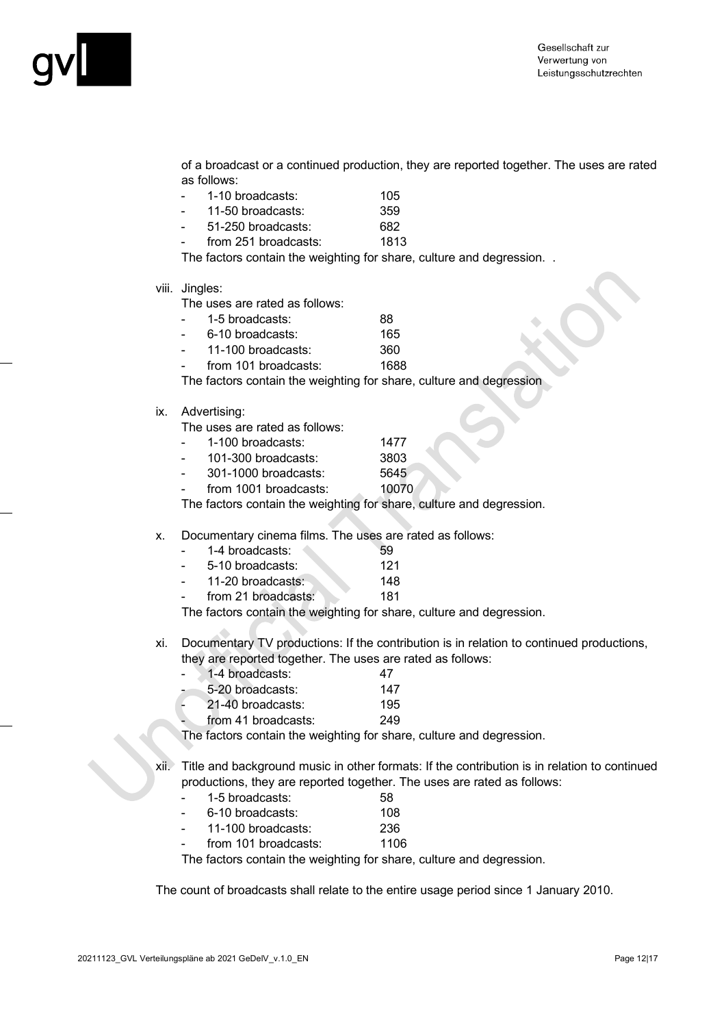

of a broadcast or a continued production, they are reported together. The uses are rated as follows:

| 1-10 broadcasts: | 105 |
|------------------|-----|
|                  |     |

- 11-50 broadcasts: 359
- 51-250 broadcasts: 682

from 251 broadcasts: 1813 The factors contain the weighting for share, culture and degression. .

viii. Jingles:

The uses are rated as follows:

- 1-5 broadcasts: 88
- 6-10 broadcasts: 165
- 11-100 broadcasts: 360
- from 101 broadcasts: 1688

The factors contain the weighting for share, culture and degression

ix. Advertising:

The uses are rated as follows:

- 1-100 broadcasts: 1477
- 101-300 broadcasts: 3803
- 301-1000 broadcasts: 5645
- from 1001 broadcasts: 10070

The factors contain the weighting for share, culture and degression.

#### x. Documentary cinema films. The uses are rated as follows:

| 1-4 broadcasts:   | 59  |
|-------------------|-----|
| 5-10 broadcasts:  | 121 |
| 11-20 broadcasts: | 148 |

from 21 broadcasts: 181

The factors contain the weighting for share, culture and degression.

xi. Documentary TV productions: If the contribution is in relation to continued productions, they are reported together. The uses are rated as follows:

| 1-4 broadcasts:     | 47  |
|---------------------|-----|
| 5-20 broadcasts:    | 147 |
| 21-40 broadcasts:   | 195 |
| from 41 broadcasts: | 249 |

The factors contain the weighting for share, culture and degression.

xii. Title and background music in other formats: If the contribution is in relation to continued productions, they are reported together. The uses are rated as follows:

- 1-5 broadcasts: 58
- 6-10 broadcasts: 108
- 11-100 broadcasts: 236
- from 101 broadcasts: 1106

The factors contain the weighting for share, culture and degression.

The count of broadcasts shall relate to the entire usage period since 1 January 2010.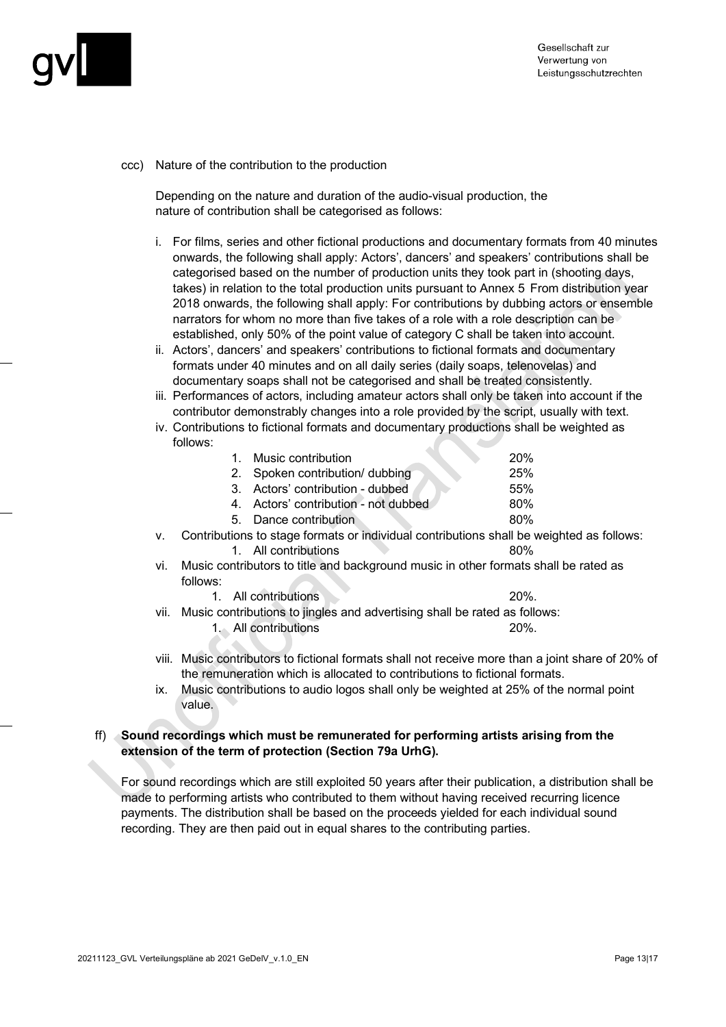

ccc) Nature of the contribution to the production

Depending on the nature and duration of the audio-visual production, the nature of contribution shall be categorised as follows:

- i. For films, series and other fictional productions and documentary formats from 40 minutes onwards, the following shall apply: Actors', dancers' and speakers' contributions shall be categorised based on the number of production units they took part in (shooting days, takes) in relation to the total production units pursuant to Annex 5 From distribution year 2018 onwards, the following shall apply: For contributions by dubbing actors or ensemble narrators for whom no more than five takes of a role with a role description can be established, only 50% of the point value of category C shall be taken into account.
- ii. Actors', dancers' and speakers' contributions to fictional formats and documentary formats under 40 minutes and on all daily series (daily soaps, telenovelas) and documentary soaps shall not be categorised and shall be treated consistently.
- iii. Performances of actors, including amateur actors shall only be taken into account if the contributor demonstrably changes into a role provided by the script, usually with text.
- iv. Contributions to fictional formats and documentary productions shall be weighted as follows:

| 1. Music contribution                | 20% |
|--------------------------------------|-----|
| 2. Spoken contribution/ dubbing      | 25% |
| 3. Actors' contribution - dubbed     | 55% |
| 4. Actors' contribution - not dubbed | 80% |
| 5. Dance contribution                | 80% |

- v. Contributions to stage formats or individual contributions shall be weighted as follows: 1. All contributions 80%
- vi. Music contributors to title and background music in other formats shall be rated as follows:

| 1. All contributions                                                  |  |  |
|-----------------------------------------------------------------------|--|--|
| aio contributione to lingles and advartising shall be retad as follow |  |  |

- vii. Music contributions to jingles and advertising shall be rated as follows:
	- 1. All contributions 20%.
- viii. Music contributors to fictional formats shall not receive more than a joint share of 20% of the remuneration which is allocated to contributions to fictional formats.
- ix. Music contributions to audio logos shall only be weighted at 25% of the normal point value.

#### ff) **Sound recordings which must be remunerated for performing artists arising from the extension of the term of protection (Section 79a UrhG).**

For sound recordings which are still exploited 50 years after their publication, a distribution shall be made to performing artists who contributed to them without having received recurring licence payments. The distribution shall be based on the proceeds yielded for each individual sound recording. They are then paid out in equal shares to the contributing parties.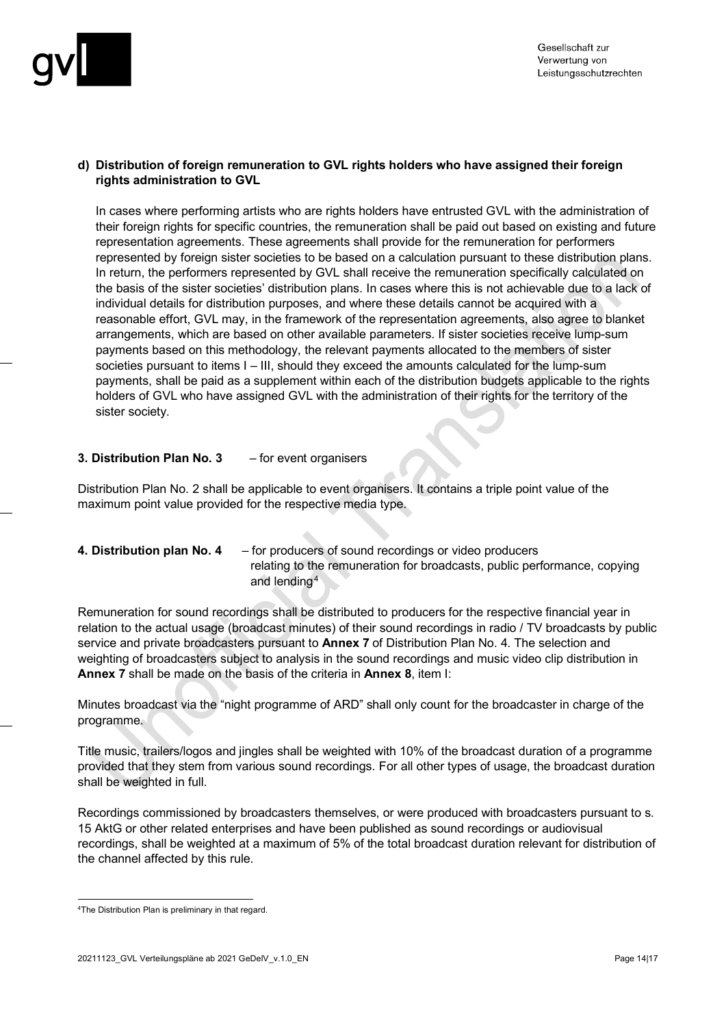

#### **d) Distribution of foreign remuneration to GVL rights holders who have assigned their foreign rights administration to GVL**

In cases where performing artists who are rights holders have entrusted GVL with the administration of their foreign rights for specific countries, the remuneration shall be paid out based on existing and future representation agreements. These agreements shall provide for the remuneration for performers represented by foreign sister societies to be based on a calculation pursuant to these distribution plans. In return, the performers represented by GVL shall receive the remuneration specifically calculated on the basis of the sister societies' distribution plans. In cases where this is not achievable due to a lack of individual details for distribution purposes, and where these details cannot be acquired with a reasonable effort, GVL may, in the framework of the representation agreements, also agree to blanket arrangements, which are based on other available parameters. If sister societies receive lump-sum payments based on this methodology, the relevant payments allocated to the members of sister societies pursuant to items  $I - III$ , should they exceed the amounts calculated for the lump-sum payments, shall be paid as a supplement within each of the distribution budgets applicable to the rights holders of GVL who have assigned GVL with the administration of their rights for the territory of the sister society.

#### **3. Distribution Plan No. 3** – for event organisers

Distribution Plan No. 2 shall be applicable to event organisers. It contains a triple point value of the maximum point value provided for the respective media type.

**4. Distribution plan No. 4** – for producers of sound recordings or video producers relating to the remuneration for broadcasts, public performance, copying and lending[4](#page-13-0)

Remuneration for sound recordings shall be distributed to producers for the respective financial year in relation to the actual usage (broadcast minutes) of their sound recordings in radio / TV broadcasts by public service and private broadcasters pursuant to **Annex 7** of Distribution Plan No. 4. The selection and weighting of broadcasters subject to analysis in the sound recordings and music video clip distribution in **Annex 7** shall be made on the basis of the criteria in **Annex 8**, item I:

Minutes broadcast via the "night programme of ARD" shall only count for the broadcaster in charge of the programme.

Title music, trailers/logos and jingles shall be weighted with 10% of the broadcast duration of a programme provided that they stem from various sound recordings. For all other types of usage, the broadcast duration shall be weighted in full.

Recordings commissioned by broadcasters themselves, or were produced with broadcasters pursuant to s. 15 AktG or other related enterprises and have been published as sound recordings or audiovisual recordings, shall be weighted at a maximum of 5% of the total broadcast duration relevant for distribution of the channel affected by this rule.

<span id="page-13-0"></span><sup>4</sup>The Distribution Plan is preliminary in that regard.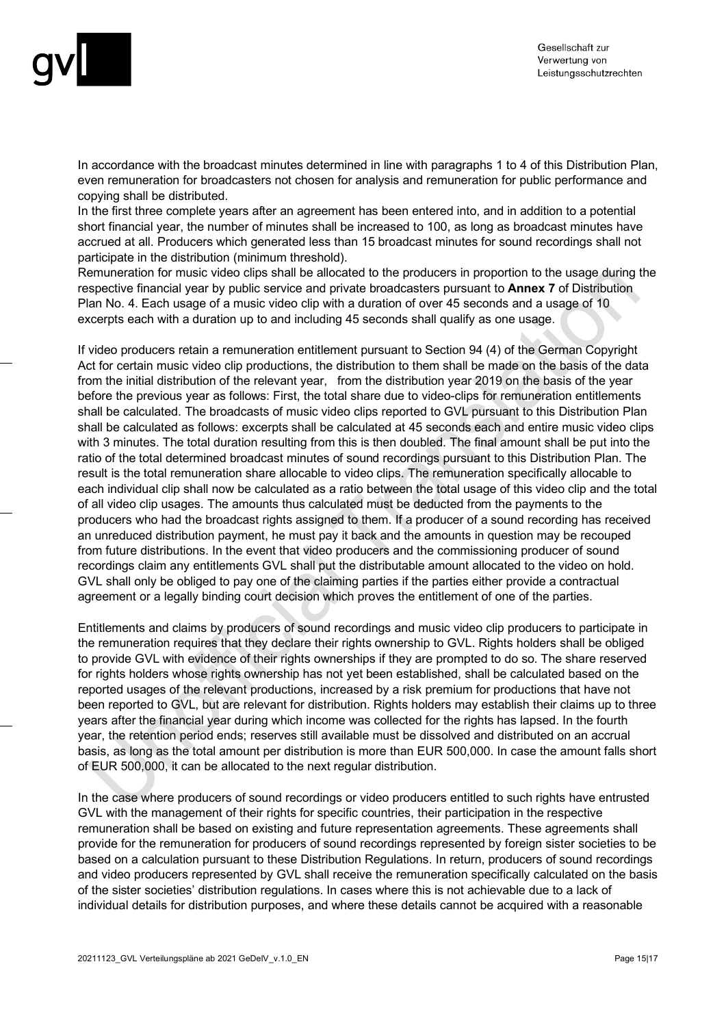

In accordance with the broadcast minutes determined in line with paragraphs 1 to 4 of this Distribution Plan, even remuneration for broadcasters not chosen for analysis and remuneration for public performance and copying shall be distributed.

In the first three complete years after an agreement has been entered into, and in addition to a potential short financial year, the number of minutes shall be increased to 100, as long as broadcast minutes have accrued at all. Producers which generated less than 15 broadcast minutes for sound recordings shall not participate in the distribution (minimum threshold).

Remuneration for music video clips shall be allocated to the producers in proportion to the usage during the respective financial year by public service and private broadcasters pursuant to **Annex 7** of Distribution Plan No. 4. Each usage of a music video clip with a duration of over 45 seconds and a usage of 10 excerpts each with a duration up to and including 45 seconds shall qualify as one usage.

If video producers retain a remuneration entitlement pursuant to Section 94 (4) of the German Copyright Act for certain music video clip productions, the distribution to them shall be made on the basis of the data from the initial distribution of the relevant year, from the distribution year 2019 on the basis of the year before the previous year as follows: First, the total share due to video-clips for remuneration entitlements shall be calculated. The broadcasts of music video clips reported to GVL pursuant to this Distribution Plan shall be calculated as follows: excerpts shall be calculated at 45 seconds each and entire music video clips with 3 minutes. The total duration resulting from this is then doubled. The final amount shall be put into the ratio of the total determined broadcast minutes of sound recordings pursuant to this Distribution Plan. The result is the total remuneration share allocable to video clips. The remuneration specifically allocable to each individual clip shall now be calculated as a ratio between the total usage of this video clip and the total of all video clip usages. The amounts thus calculated must be deducted from the payments to the producers who had the broadcast rights assigned to them. If a producer of a sound recording has received an unreduced distribution payment, he must pay it back and the amounts in question may be recouped from future distributions. In the event that video producers and the commissioning producer of sound recordings claim any entitlements GVL shall put the distributable amount allocated to the video on hold. GVL shall only be obliged to pay one of the claiming parties if the parties either provide a contractual agreement or a legally binding court decision which proves the entitlement of one of the parties.

Entitlements and claims by producers of sound recordings and music video clip producers to participate in the remuneration requires that they declare their rights ownership to GVL. Rights holders shall be obliged to provide GVL with evidence of their rights ownerships if they are prompted to do so. The share reserved for rights holders whose rights ownership has not yet been established, shall be calculated based on the reported usages of the relevant productions, increased by a risk premium for productions that have not been reported to GVL, but are relevant for distribution. Rights holders may establish their claims up to three years after the financial year during which income was collected for the rights has lapsed. In the fourth year, the retention period ends; reserves still available must be dissolved and distributed on an accrual basis, as long as the total amount per distribution is more than EUR 500,000. In case the amount falls short of EUR 500,000, it can be allocated to the next regular distribution.

In the case where producers of sound recordings or video producers entitled to such rights have entrusted GVL with the management of their rights for specific countries, their participation in the respective remuneration shall be based on existing and future representation agreements. These agreements shall provide for the remuneration for producers of sound recordings represented by foreign sister societies to be based on a calculation pursuant to these Distribution Regulations. In return, producers of sound recordings and video producers represented by GVL shall receive the remuneration specifically calculated on the basis of the sister societies' distribution regulations. In cases where this is not achievable due to a lack of individual details for distribution purposes, and where these details cannot be acquired with a reasonable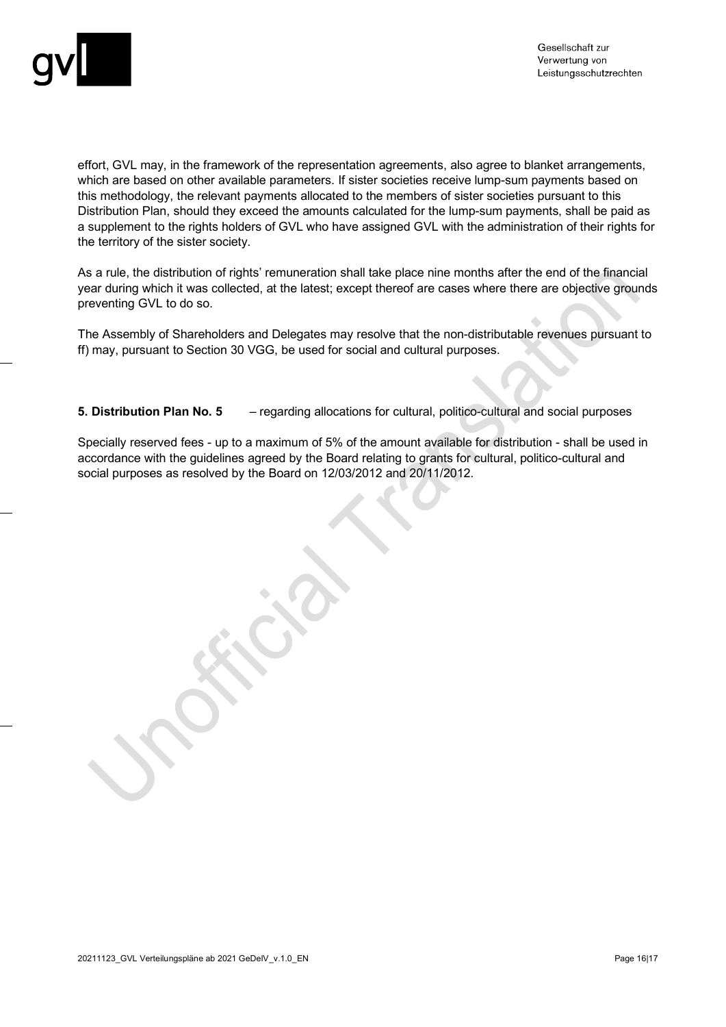

effort, GVL may, in the framework of the representation agreements, also agree to blanket arrangements, which are based on other available parameters. If sister societies receive lump-sum payments based on this methodology, the relevant payments allocated to the members of sister societies pursuant to this Distribution Plan, should they exceed the amounts calculated for the lump-sum payments, shall be paid as a supplement to the rights holders of GVL who have assigned GVL with the administration of their rights for the territory of the sister society.

As a rule, the distribution of rights' remuneration shall take place nine months after the end of the financial year during which it was collected, at the latest; except thereof are cases where there are objective grounds preventing GVL to do so.

The Assembly of Shareholders and Delegates may resolve that the non-distributable revenues pursuant to ff) may, pursuant to Section 30 VGG, be used for social and cultural purposes.

**5. Distribution Plan No. 5** – regarding allocations for cultural, politico-cultural and social purposes

Specially reserved fees - up to a maximum of 5% of the amount available for distribution - shall be used in accordance with the guidelines agreed by the Board relating to grants for cultural, politico-cultural and social purposes as resolved by the Board on 12/03/2012 and 20/11/2012.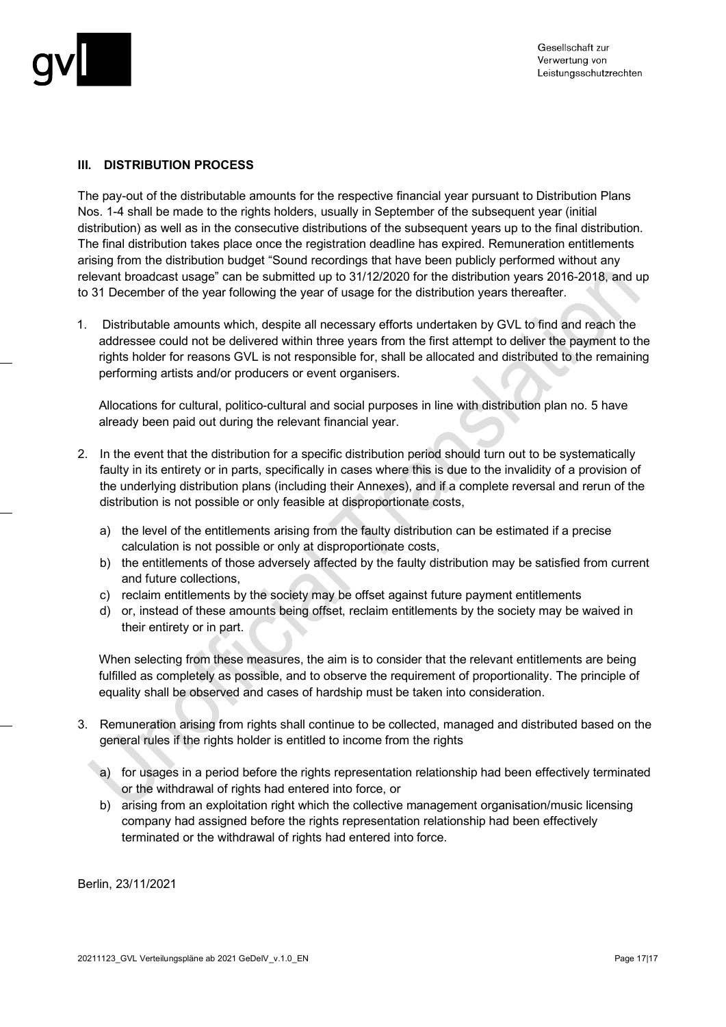

#### **III. DISTRIBUTION PROCESS**

The pay-out of the distributable amounts for the respective financial year pursuant to Distribution Plans Nos. 1-4 shall be made to the rights holders, usually in September of the subsequent year (initial distribution) as well as in the consecutive distributions of the subsequent years up to the final distribution. The final distribution takes place once the registration deadline has expired. Remuneration entitlements arising from the distribution budget "Sound recordings that have been publicly performed without any relevant broadcast usage" can be submitted up to 31/12/2020 for the distribution years 2016-2018, and up to 31 December of the year following the year of usage for the distribution years thereafter.

1. Distributable amounts which, despite all necessary efforts undertaken by GVL to find and reach the addressee could not be delivered within three years from the first attempt to deliver the payment to the rights holder for reasons GVL is not responsible for, shall be allocated and distributed to the remaining performing artists and/or producers or event organisers.

Allocations for cultural, politico-cultural and social purposes in line with distribution plan no. 5 have already been paid out during the relevant financial year.

- 2. In the event that the distribution for a specific distribution period should turn out to be systematically faulty in its entirety or in parts, specifically in cases where this is due to the invalidity of a provision of the underlying distribution plans (including their Annexes), and if a complete reversal and rerun of the distribution is not possible or only feasible at disproportionate costs,
	- a) the level of the entitlements arising from the faulty distribution can be estimated if a precise calculation is not possible or only at disproportionate costs,
	- b) the entitlements of those adversely affected by the faulty distribution may be satisfied from current and future collections,
	- c) reclaim entitlements by the society may be offset against future payment entitlements
	- d) or, instead of these amounts being offset, reclaim entitlements by the society may be waived in their entirety or in part.

When selecting from these measures, the aim is to consider that the relevant entitlements are being fulfilled as completely as possible, and to observe the requirement of proportionality. The principle of equality shall be observed and cases of hardship must be taken into consideration.

- 3. Remuneration arising from rights shall continue to be collected, managed and distributed based on the general rules if the rights holder is entitled to income from the rights
	- a) for usages in a period before the rights representation relationship had been effectively terminated or the withdrawal of rights had entered into force, or
	- b) arising from an exploitation right which the collective management organisation/music licensing company had assigned before the rights representation relationship had been effectively terminated or the withdrawal of rights had entered into force.

Berlin, 23/11/2021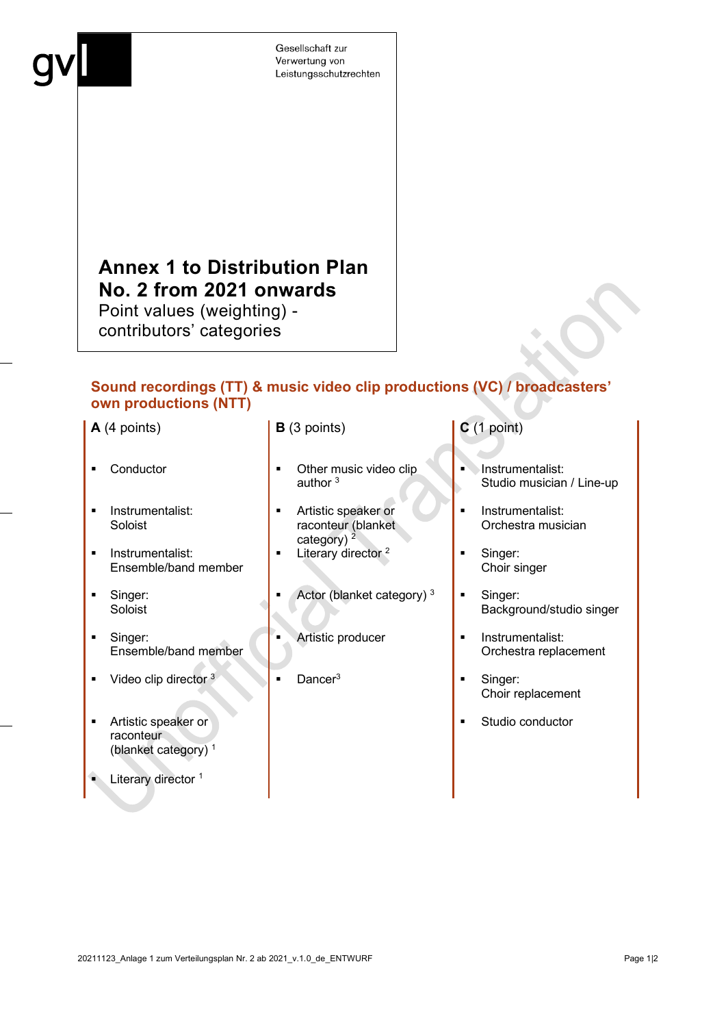# **Annex 1 to Distribution Plan No. 2 from 2021 onwards**

Point values (weighting) contributors' categories

## **Sound recordings (TT) & music video clip productions (VC) / broadcasters' own productions (NTT)**

- 
- **Instrumentalist:** Soloist
- **Instrumentalist:** Ensemble/band member
- **Singer:** Soloist
- **Singer:** Ensemble/band member
- video clip director <sup>3</sup> **Dancer**<sup>3</sup> **Dancer**<sup>3</sup> **Singer:**
- **Artistic speaker or** raconteur (blanket category) 1
- Literary director<sup>1</sup>

#### **A** (4 points) **B** (3 points) **C** (1 point)

- Conductor **Definition** Other music video clip author<sup>3</sup>
	- Artistic speaker or raconteur (blanket category) $^2$
	- $\blacksquare$  Literary director  $\frac{2}{3}$   $\blacksquare$  Singer:
	- Actor (blanket category)<sup>3</sup> **Singer:**
	-
	-

- Instrumentalist: Studio musician / Line-up
- **Instrumentalist:** Orchestra musician
- Choir singer
- Background/studio singer
- Artistic producer **I** Instrumentalist: Orchestra replacement
	- Choir replacement
	- **Studio conductor**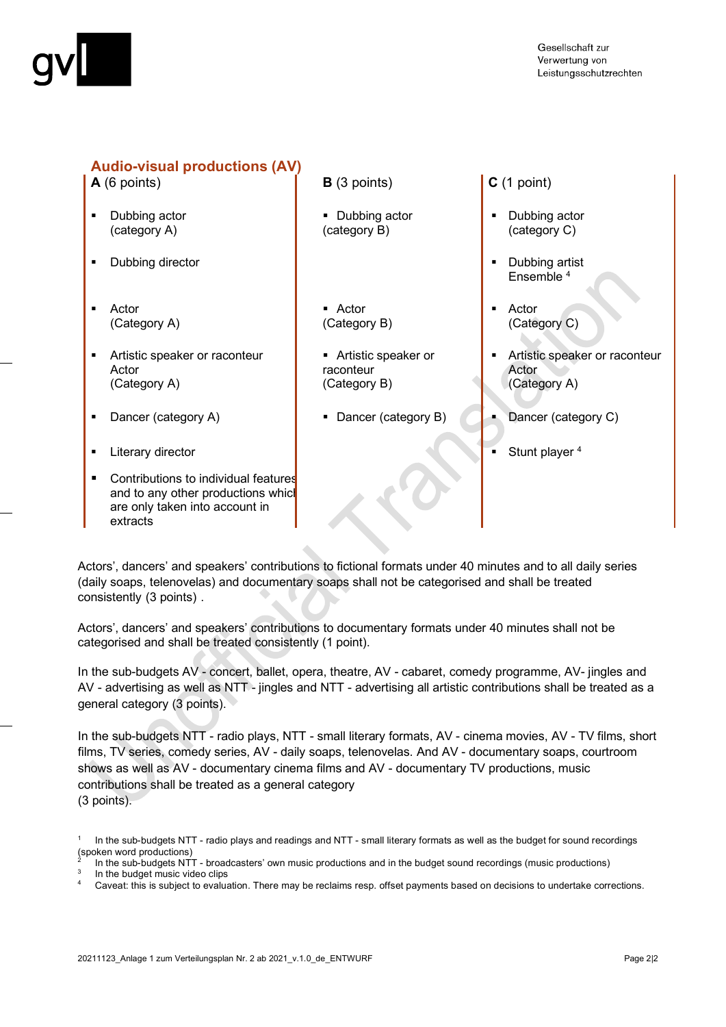

## **Audio-visual productions (AV)**

- Dubbing actor (category A)
- **Dubbing director Dubbing artist**
- Actor (Category A)
- **Artistic speaker or raconteur** Actor (Category A)
- 
- Literary director **Stunt player 4** and the stunt player 4 and the Stunt player 4 and the Stunt player 4
- Contributions to individual features and to any other productions which are only taken into account in extracts
- **A** (6 points) **B** (3 points) **C** (1 point)
	- **Dubbing actor** (category B)
	- Actor (Category B)
	- Artistic speaker or raconteur (Category B)
	-

- Dubbing actor (category C)
- Ensemble 4
- Actor (Category C)
- Artistic speaker or raconteur Actor (Category A)
- Dancer (category A) Dancer (category B) Dancer (category C)
	-

Actors', dancers' and speakers' contributions to fictional formats under 40 minutes and to all daily series (daily soaps, telenovelas) and documentary soaps shall not be categorised and shall be treated consistently (3 points) .

Actors', dancers' and speakers' contributions to documentary formats under 40 minutes shall not be categorised and shall be treated consistently (1 point).

In the sub-budgets AV - concert, ballet, opera, theatre, AV - cabaret, comedy programme, AV- jingles and AV - advertising as well as NTT - jingles and NTT - advertising all artistic contributions shall be treated as a general category (3 points).

In the sub-budgets NTT - radio plays, NTT - small literary formats, AV - cinema movies, AV - TV films, short films, TV series, comedy series, AV - daily soaps, telenovelas. And AV - documentary soaps, courtroom shows as well as AV - documentary cinema films and AV - documentary TV productions, music contributions shall be treated as a general category (3 points).

In the sub-budgets NTT - radio plays and readings and NTT - small literary formats as well as the budget for sound recordings (spoken word productions)

<sup>2</sup> In the sub-budgets NTT - broadcasters' own music productions and in the budget sound recordings (music productions)

In the budget music video clips<br>Caveat: this is subject to evaluation. There may be reclaims resp. offset payments based on decisions to undertake corrections.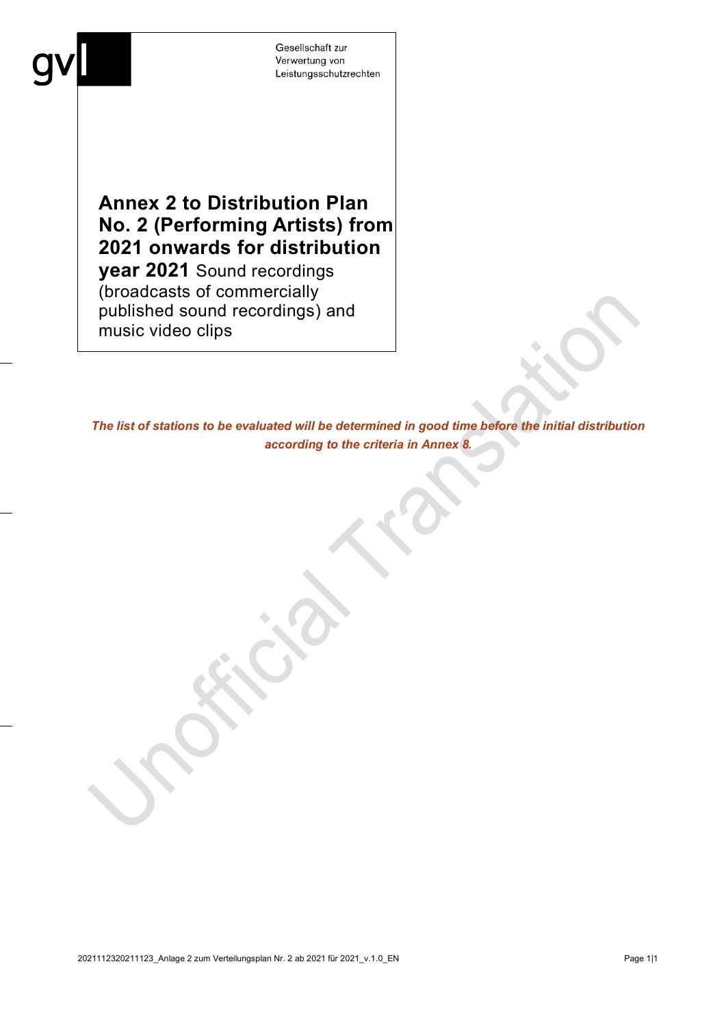

# **Annex 2 to Distribution Plan No. 2 (Performing Artists) from 2021 onwards for distribution**

**year 2021** Sound recordings (broadcasts of commercially published sound recordings) and music video clips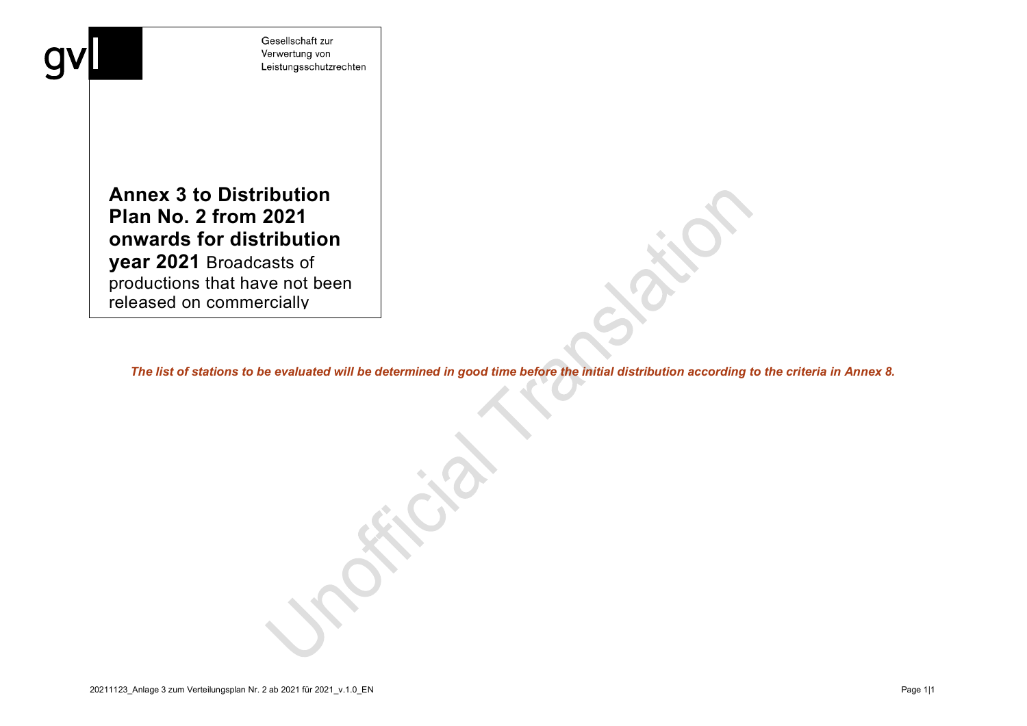**Annex 3 to Distribution Plan No. 2 from 2021 onwards for distribution year 2021** Broadcasts of productions that have not been released on commercially

I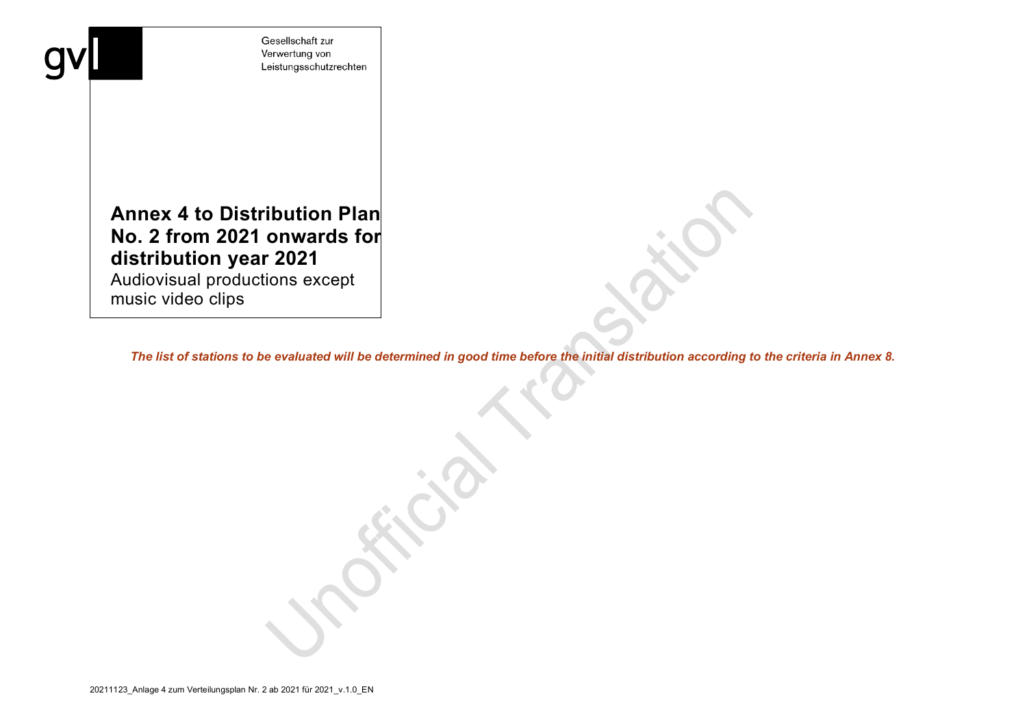# **Annex 4 to Distribution Plan No. 2 from 2021 onwards for distribution year 2021**

Audiovisual productions except music video clips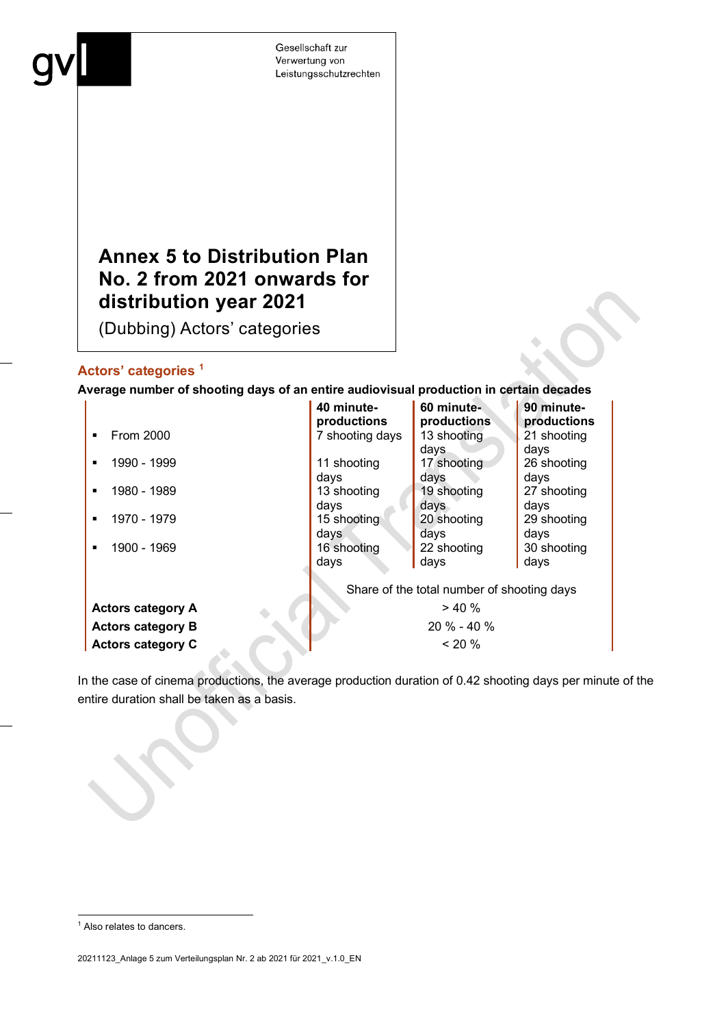# **Annex 5 to Distribution Plan No. 2 from 2021 onwards for distribution year 2021**

(Dubbing) Actors' categories

### **Actors' categories [1](#page-22-0)**

#### **Average number of shooting days of an entire audiovisual production in certain decades**

|                          | 40 minute-<br>productions                  | 60 minute-<br>productions | 90 minute-<br>productions |  |
|--------------------------|--------------------------------------------|---------------------------|---------------------------|--|
| From 2000                | 7 shooting days                            | 13 shooting               | 21 shooting               |  |
|                          |                                            | days                      | days                      |  |
| 1990 - 1999              | 11 shooting                                | 17 shooting               | 26 shooting               |  |
|                          | days                                       | days                      | days                      |  |
| 1980 - 1989<br>п.        | 13 shooting                                | 19 shooting               | 27 shooting               |  |
|                          | days                                       | days                      | days                      |  |
| 1970 - 1979<br>п.        | 15 shooting                                | 20 shooting               | 29 shooting               |  |
|                          | days                                       | days                      | days                      |  |
| 1900 - 1969              | 16 shooting                                | 22 shooting               | 30 shooting               |  |
|                          | days                                       | days                      | days                      |  |
|                          |                                            |                           |                           |  |
|                          | Share of the total number of shooting days |                           |                           |  |
| <b>Actors category A</b> | > 40%                                      |                           |                           |  |
| <b>Actors category B</b> | $20 \% - 40 \%$                            |                           |                           |  |
| <b>Actors category C</b> | $< 20\%$                                   |                           |                           |  |

In the case of cinema productions, the average production duration of 0.42 shooting days per minute of the entire duration shall be taken as a basis.

<span id="page-22-0"></span><sup>&</sup>lt;sup>1</sup> Also relates to dancers.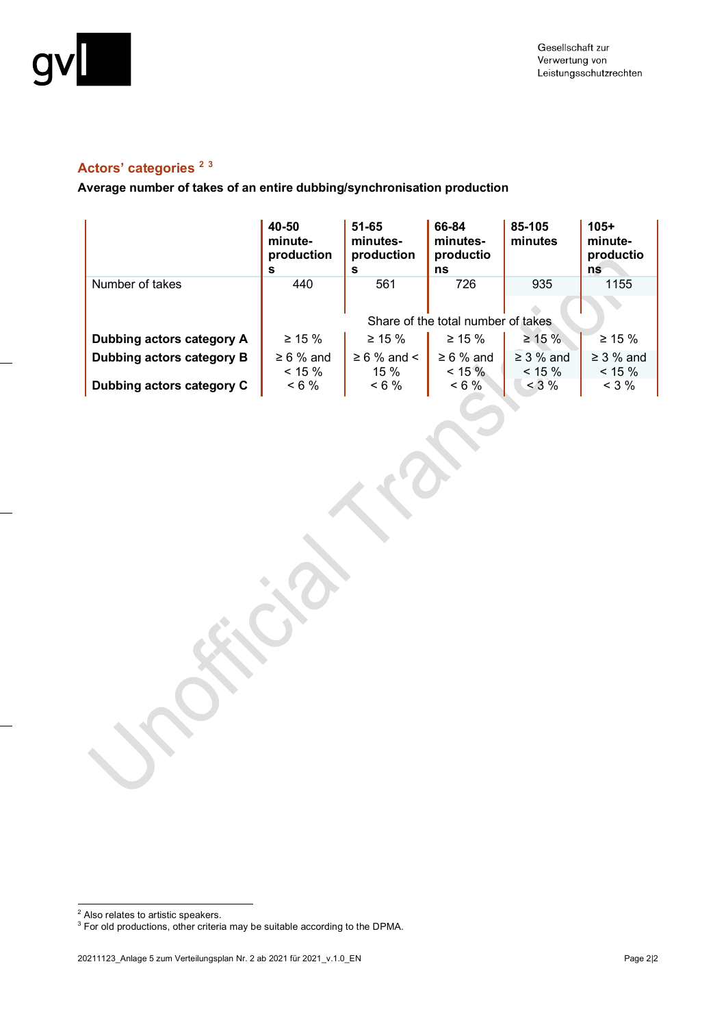

# **Actors' categories [2](#page-23-0) [3](#page-23-1)**

**Average number of takes of an entire dubbing/synchronisation production**

|                           | 40-50<br>minute-<br>production<br>s | $51 - 65$<br>minutes-<br>production<br>s | 66-84<br>minutes-<br>productio<br>ns | 85-105<br>minutes | $105+$<br>minute-<br>productio<br>ns |
|---------------------------|-------------------------------------|------------------------------------------|--------------------------------------|-------------------|--------------------------------------|
| Number of takes           | 440                                 | 561                                      | 726                                  | 935               | 1155                                 |
|                           |                                     |                                          |                                      |                   |                                      |
|                           | Share of the total number of takes  |                                          |                                      |                   |                                      |
| Dubbing actors category A | $\geq 15 \%$                        | $\geq 15 \%$                             | $\geq 15 \%$                         | $\geq 15 \%$      | $\geq 15 \%$                         |
| Dubbing actors category B | $\geq 6$ % and                      | $\geq 6$ % and <                         | $\geq 6$ % and                       | $\geq$ 3 % and    | $\geq$ 3 % and                       |
|                           | $< 15 \%$                           | 15%                                      | $< 15 \%$                            | $< 15 \%$         | $< 15 \%$                            |
| Dubbing actors category C | $< 6\%$                             | $< 6\%$                                  | $< 6\%$                              | $<$ 3 %           | $<$ 3 %                              |

<span id="page-23-0"></span> $2$  Also relates to artistic speakers.

<span id="page-23-1"></span> $^3$  For old productions, other criteria may be suitable according to the DPMA.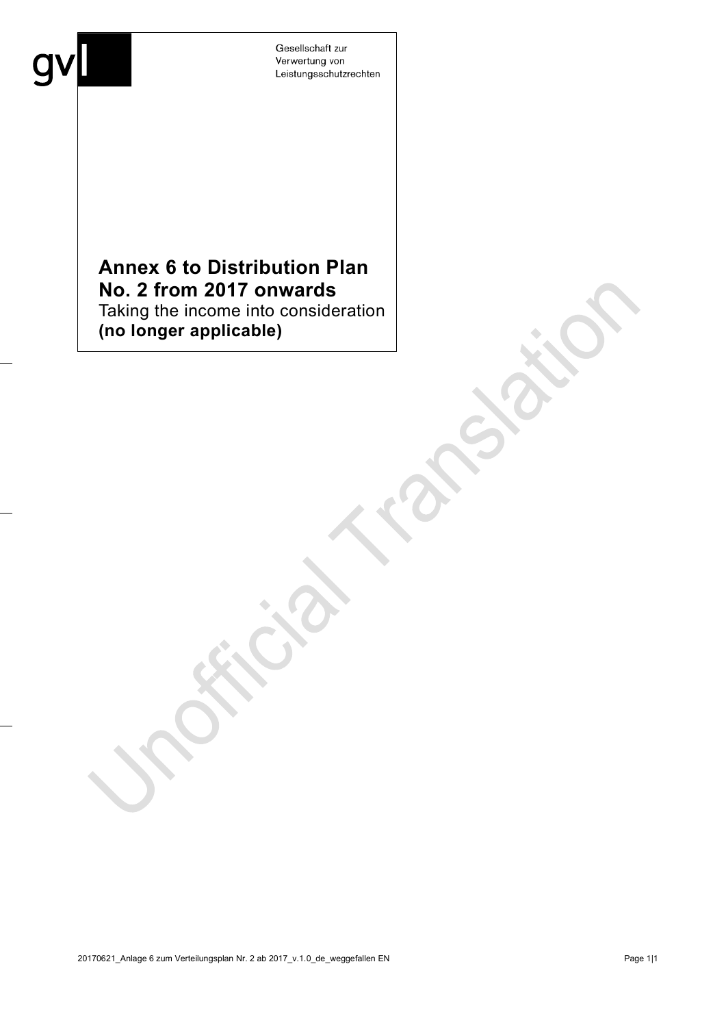# **Annex 6 to Distribution Plan No. 2 from 2017 onwards**  Taking the income into consideration

**(no longer applicable)**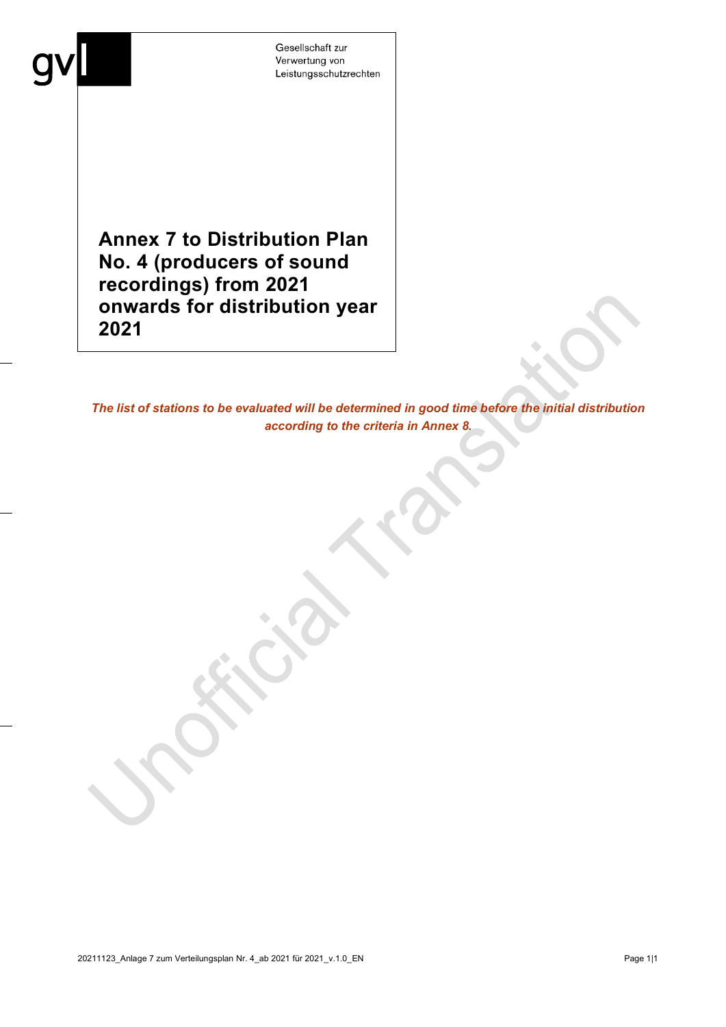**Annex 7 to Distribution Plan No. 4 (producers of sound recordings) from 2021 onwards for distribution year 2021**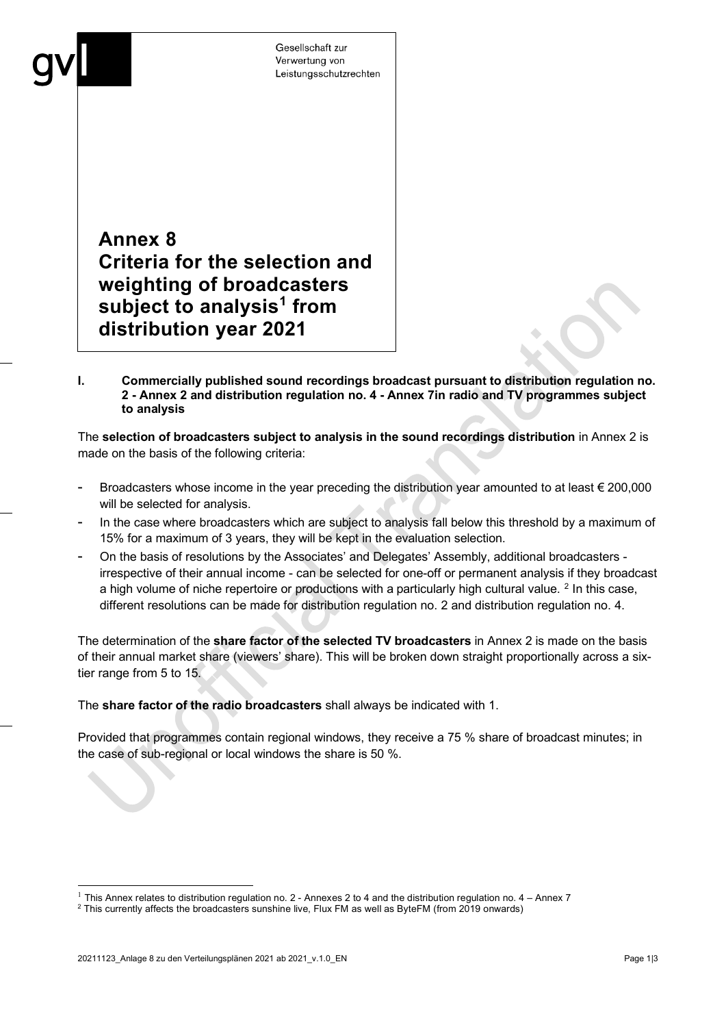**Annex 8 Criteria for the selection and weighting of broadcasters subject to analysis[1](#page-26-0) from distribution year 2021**

**I. Commercially published sound recordings broadcast pursuant to distribution regulation no. 2 - Annex 2 and distribution regulation no. 4 - Annex 7in radio and TV programmes subject to analysis** 

The **selection of broadcasters subject to analysis in the sound recordings distribution** in Annex 2 is made on the basis of the following criteria:

- Broadcasters whose income in the year preceding the distribution year amounted to at least  $\epsilon$  200,000 will be selected for analysis.
- In the case where broadcasters which are subject to analysis fall below this threshold by a maximum of 15% for a maximum of 3 years, they will be kept in the evaluation selection.
- On the basis of resolutions by the Associates' and Delegates' Assembly, additional broadcasters irrespective of their annual income - can be selected for one-off or permanent analysis if they broadcast a high volume of niche repertoire or productions with a particularly high cultural value. <sup>[2](#page-26-1)</sup> In this case, different resolutions can be made for distribution regulation no. 2 and distribution regulation no. 4.

The determination of the **share factor of the selected TV broadcasters** in Annex 2 is made on the basis of their annual market share (viewers' share). This will be broken down straight proportionally across a sixtier range from 5 to 15.

The **share factor of the radio broadcasters** shall always be indicated with 1.

Provided that programmes contain regional windows, they receive a 75 % share of broadcast minutes; in the case of sub-regional or local windows the share is 50 %.

<span id="page-26-0"></span><sup>&</sup>lt;sup>1</sup> This Annex relates to distribution regulation no. 2 - Annexes 2 to 4 and the distribution regulation no. 4 – Annex 7

<span id="page-26-1"></span> $2$  This currently affects the broadcasters sunshine live, Flux FM as well as ByteFM (from 2019 onwards)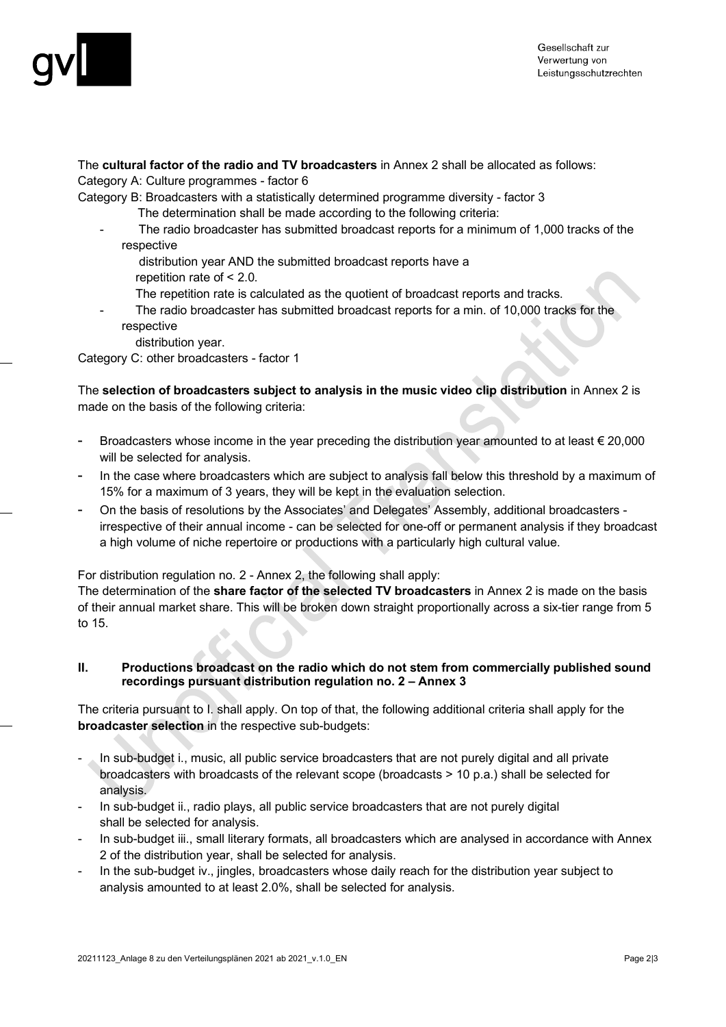

The **cultural factor of the radio and TV broadcasters** in Annex 2 shall be allocated as follows:

Category A: Culture programmes - factor 6

Category B: Broadcasters with a statistically determined programme diversity - factor 3

- The determination shall be made according to the following criteria:
- The radio broadcaster has submitted broadcast reports for a minimum of 1,000 tracks of the respective
	- distribution year AND the submitted broadcast reports have a
	- repetition rate of < 2.0.
	- The repetition rate is calculated as the quotient of broadcast reports and tracks.
- The radio broadcaster has submitted broadcast reports for a min. of 10,000 tracks for the respective
	- distribution year.

Category C: other broadcasters - factor 1

The **selection of broadcasters subject to analysis in the music video clip distribution** in Annex 2 is made on the basis of the following criteria:

- Broadcasters whose income in the year preceding the distribution year amounted to at least  $\epsilon$  20,000 will be selected for analysis.
- In the case where broadcasters which are subject to analysis fall below this threshold by a maximum of 15% for a maximum of 3 years, they will be kept in the evaluation selection.
- On the basis of resolutions by the Associates' and Delegates' Assembly, additional broadcasters irrespective of their annual income - can be selected for one-off or permanent analysis if they broadcast a high volume of niche repertoire or productions with a particularly high cultural value.

For distribution regulation no. 2 - Annex 2, the following shall apply:

The determination of the **share factor of the selected TV broadcasters** in Annex 2 is made on the basis of their annual market share. This will be broken down straight proportionally across a six-tier range from 5 to 15.

#### **II. Productions broadcast on the radio which do not stem from commercially published sound recordings pursuant distribution regulation no. 2 – Annex 3**

The criteria pursuant to I. shall apply. On top of that, the following additional criteria shall apply for the **broadcaster selection** in the respective sub-budgets:

- In sub-budget i., music, all public service broadcasters that are not purely digital and all private broadcasters with broadcasts of the relevant scope (broadcasts > 10 p.a.) shall be selected for analysis.
- In sub-budget ii., radio plays, all public service broadcasters that are not purely digital shall be selected for analysis.
- In sub-budget iii., small literary formats, all broadcasters which are analysed in accordance with Annex 2 of the distribution year, shall be selected for analysis.
- In the sub-budget iv., jingles, broadcasters whose daily reach for the distribution year subject to analysis amounted to at least 2.0%, shall be selected for analysis.